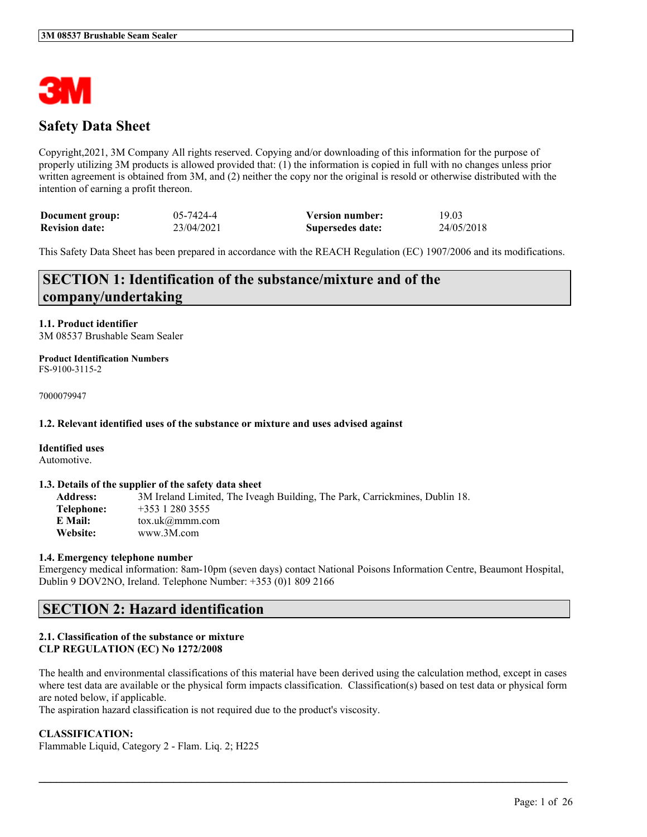

# **Safety Data Sheet**

Copyright,2021, 3M Company All rights reserved. Copying and/or downloading of this information for the purpose of properly utilizing 3M products is allowed provided that: (1) the information is copied in full with no changes unless prior written agreement is obtained from 3M, and (2) neither the copy nor the original is resold or otherwise distributed with the intention of earning a profit thereon.

| Document group:       | 05-7424-4  | <b>Version number:</b> | 19.03      |
|-----------------------|------------|------------------------|------------|
| <b>Revision date:</b> | 23/04/2021 | Supersedes date:       | 24/05/2018 |

This Safety Data Sheet has been prepared in accordance with the REACH Regulation (EC) 1907/2006 and its modifications.

# **SECTION 1: Identification of the substance/mixture and of the company/undertaking**

**1.1. Product identifier** 3M 08537 Brushable Seam Sealer

**Product Identification Numbers** FS-9100-3115-2

7000079947

## **1.2. Relevant identified uses of the substance or mixture and uses advised against**

#### **Identified uses**

Automotive.

#### **1.3. Details of the supplier of the safety data sheet**

**Address:** 3M Ireland Limited, The Iveagh Building, The Park, Carrickmines, Dublin 18. **Telephone:** +353 1 280 3555 **E Mail:** tox.uk@mmm.com **Website:** www.3M.com

## **1.4. Emergency telephone number**

Emergency medical information: 8am-10pm (seven days) contact National Poisons Information Centre, Beaumont Hospital, Dublin 9 DOV2NO, Ireland. Telephone Number: +353 (0)1 809 2166

# **SECTION 2: Hazard identification**

## **2.1. Classification of the substance or mixture CLP REGULATION (EC) No 1272/2008**

The health and environmental classifications of this material have been derived using the calculation method, except in cases where test data are available or the physical form impacts classification. Classification(s) based on test data or physical form are noted below, if applicable.

 $\mathcal{L}_\mathcal{L} = \mathcal{L}_\mathcal{L} = \mathcal{L}_\mathcal{L} = \mathcal{L}_\mathcal{L} = \mathcal{L}_\mathcal{L} = \mathcal{L}_\mathcal{L} = \mathcal{L}_\mathcal{L} = \mathcal{L}_\mathcal{L} = \mathcal{L}_\mathcal{L} = \mathcal{L}_\mathcal{L} = \mathcal{L}_\mathcal{L} = \mathcal{L}_\mathcal{L} = \mathcal{L}_\mathcal{L} = \mathcal{L}_\mathcal{L} = \mathcal{L}_\mathcal{L} = \mathcal{L}_\mathcal{L} = \mathcal{L}_\mathcal{L}$ 

The aspiration hazard classification is not required due to the product's viscosity.

## **CLASSIFICATION:**

Flammable Liquid, Category 2 - Flam. Liq. 2; H225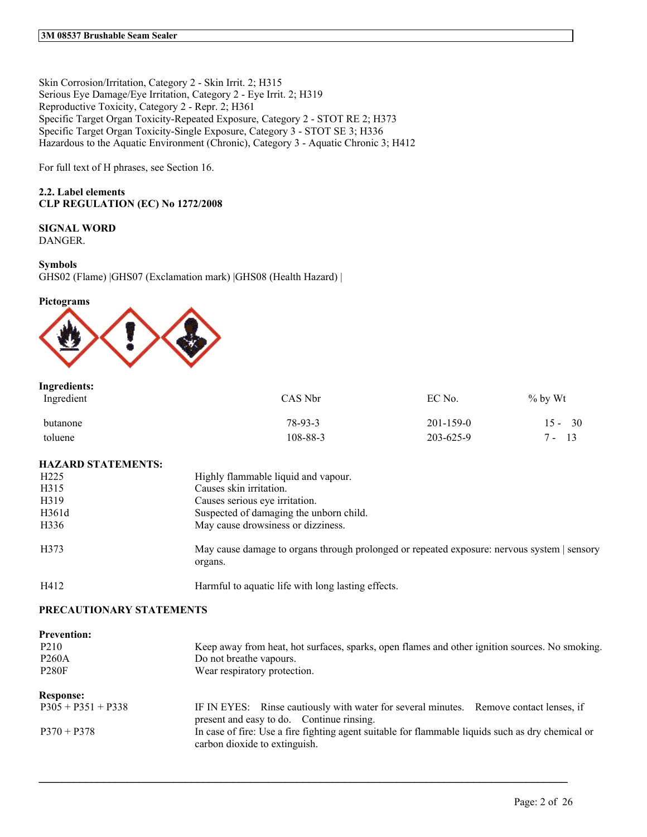Skin Corrosion/Irritation, Category 2 - Skin Irrit. 2; H315 Serious Eye Damage/Eye Irritation, Category 2 - Eye Irrit. 2; H319 Reproductive Toxicity, Category 2 - Repr. 2; H361 Specific Target Organ Toxicity-Repeated Exposure, Category 2 - STOT RE 2; H373 Specific Target Organ Toxicity-Single Exposure, Category 3 - STOT SE 3; H336 Hazardous to the Aquatic Environment (Chronic), Category 3 - Aquatic Chronic 3; H412

For full text of H phrases, see Section 16.

## **2.2. Label elements CLP REGULATION (EC) No 1272/2008**

# **SIGNAL WORD**

DANGER.

## **Symbols**

GHS02 (Flame) |GHS07 (Exclamation mark) |GHS08 (Health Hazard) |

#### **Pictograms**



| Ingredients:<br>Ingredient | CAS Nbr  | EC No.          | % by Wt   |
|----------------------------|----------|-----------------|-----------|
| butanone                   | 78-93-3  | $201 - 159 - 0$ | $15 - 30$ |
| toluene                    | 108-88-3 | 203-625-9       | 13<br>7 - |

## **HAZARD STATEMENTS:**

| H <sub>225</sub> | Highly flammable liquid and vapour.                                                                    |
|------------------|--------------------------------------------------------------------------------------------------------|
| H315             | Causes skin irritation.                                                                                |
| H319             | Causes serious eye irritation.                                                                         |
| H361d            | Suspected of damaging the unborn child.                                                                |
| H336             | May cause drowsiness or dizziness.                                                                     |
| H373             | May cause damage to organs through prolonged or repeated exposure: nervous system   sensory<br>organs. |
| H412             | Harmful to aquatic life with long lasting effects.                                                     |

## **PRECAUTIONARY STATEMENTS**

| <b>Prevention:</b><br>P <sub>2</sub> 10<br><b>P260A</b><br><b>P280F</b> | Keep away from heat, hot surfaces, sparks, open flames and other ignition sources. No smoking.<br>Do not breathe vapours.<br>Wear respiratory protection. |
|-------------------------------------------------------------------------|-----------------------------------------------------------------------------------------------------------------------------------------------------------|
|                                                                         |                                                                                                                                                           |
| <b>Response:</b>                                                        |                                                                                                                                                           |
| $P305 + P351 + P338$                                                    | IF IN EYES: Rinse cautiously with water for several minutes. Remove contact lenses, if<br>present and easy to do. Continue rinsing.                       |
| $P370 + P378$                                                           | In case of fire: Use a fire fighting agent suitable for flammable liquids such as dry chemical or<br>carbon dioxide to extinguish.                        |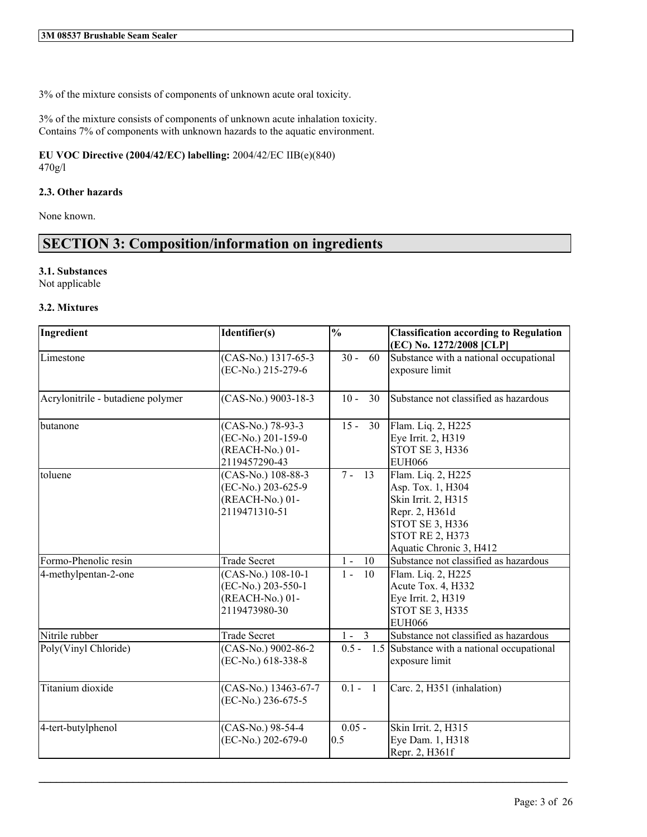3% of the mixture consists of components of unknown acute oral toxicity.

3% of the mixture consists of components of unknown acute inhalation toxicity. Contains 7% of components with unknown hazards to the aquatic environment.

**EU VOC Directive (2004/42/EC) labelling:** 2004/42/EC IIB(e)(840) 470g/l

## **2.3. Other hazards**

None known.

# **SECTION 3: Composition/information on ingredients**

## **3.1. Substances**

Not applicable

## **3.2. Mixtures**

| Ingredient                        | Identifier(s)                                                                | $\overline{\frac{0}{0}}$ | <b>Classification according to Regulation</b><br>(EC) No. 1272/2008 [CLP]                                                                                |
|-----------------------------------|------------------------------------------------------------------------------|--------------------------|----------------------------------------------------------------------------------------------------------------------------------------------------------|
| Limestone                         | (CAS-No.) 1317-65-3<br>(EC-No.) 215-279-6                                    | $30 -$<br>60             | Substance with a national occupational<br>exposure limit                                                                                                 |
| Acrylonitrile - butadiene polymer | $(CAS-N0)$ 9003-18-3                                                         | $10 -$<br>30             | Substance not classified as hazardous                                                                                                                    |
| butanone                          | (CAS-No.) 78-93-3<br>(EC-No.) 201-159-0<br>(REACH-No.) 01-<br>2119457290-43  | $15 -$<br>30             | Flam. Liq. 2, H225<br>Eye Irrit. 2, H319<br><b>STOT SE 3, H336</b><br><b>EUH066</b>                                                                      |
| toluene                           | (CAS-No.) 108-88-3<br>(EC-No.) 203-625-9<br>(REACH-No.) 01-<br>2119471310-51 | $7 -$<br>13              | Flam. Liq. 2, H225<br>Asp. Tox. 1, H304<br>Skin Irrit. 2, H315<br>Repr. 2, H361d<br>STOT SE 3, H336<br><b>STOT RE 2, H373</b><br>Aquatic Chronic 3, H412 |
| Formo-Phenolic resin              | <b>Trade Secret</b>                                                          | $1 -$<br>- 10            | Substance not classified as hazardous                                                                                                                    |
| 4-methylpentan-2-one              | (CAS-No.) 108-10-1<br>(EC-No.) 203-550-1<br>(REACH-No.) 01-<br>2119473980-30 | $1 -$<br><sup>10</sup>   | Flam. Liq. 2, H225<br>Acute Tox. 4, H332<br>Eye Irrit. 2, H319<br><b>STOT SE 3, H335</b><br><b>EUH066</b>                                                |
| Nitrile rubber                    | <b>Trade Secret</b>                                                          | $1 - 3$                  | Substance not classified as hazardous                                                                                                                    |
| Poly(Vinyl Chloride)              | (CAS-No.) 9002-86-2<br>(EC-No.) 618-338-8                                    |                          | $0.5 - 1.5$ Substance with a national occupational<br>exposure limit                                                                                     |
| Titanium dioxide                  | (CAS-No.) 13463-67-7<br>(EC-No.) 236-675-5                                   | $0.1 - 1$                | Carc. 2, H351 (inhalation)                                                                                                                               |
| 4-tert-butylphenol                | (CAS-No.) 98-54-4<br>(EC-No.) 202-679-0                                      | $0.05 -$<br>0.5          | Skin Irrit. 2, H315<br>Eye Dam. 1, H318<br>Repr. 2, H361f                                                                                                |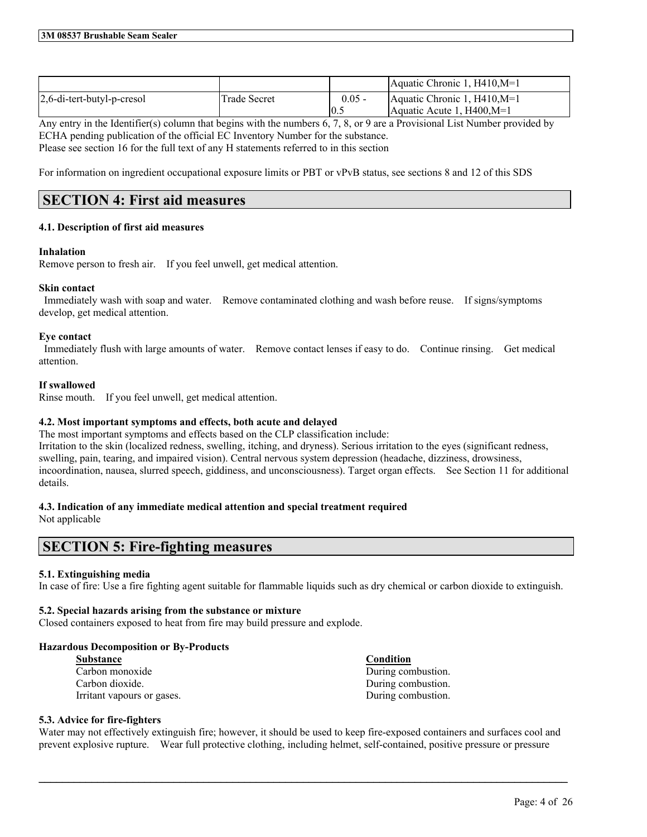|                               |              |          | Aquatic Chronic 1, $H410,M=1$ |
|-------------------------------|--------------|----------|-------------------------------|
| $2,6$ -di-tert-butyl-p-cresol | Trade Secret | $0.05 -$ | Aquatic Chronic 1, $H410,M=1$ |
|                               |              | 10.5     | Aquatic Acute 1. H400.M=1     |

Any entry in the Identifier(s) column that begins with the numbers 6, 7, 8, or 9 are a Provisional List Number provided by ECHA pending publication of the official EC Inventory Number for the substance. Please see section 16 for the full text of any H statements referred to in this section

For information on ingredient occupational exposure limits or PBT or vPvB status, see sections 8 and 12 of this SDS

# **SECTION 4: First aid measures**

## **4.1. Description of first aid measures**

## **Inhalation**

Remove person to fresh air. If you feel unwell, get medical attention.

## **Skin contact**

Immediately wash with soap and water. Remove contaminated clothing and wash before reuse. If signs/symptoms develop, get medical attention.

## **Eye contact**

Immediately flush with large amounts of water. Remove contact lenses if easy to do. Continue rinsing. Get medical attention.

## **If swallowed**

Rinse mouth. If you feel unwell, get medical attention.

## **4.2. Most important symptoms and effects, both acute and delayed**

The most important symptoms and effects based on the CLP classification include: Irritation to the skin (localized redness, swelling, itching, and dryness). Serious irritation to the eyes (significant redness, swelling, pain, tearing, and impaired vision). Central nervous system depression (headache, dizziness, drowsiness, incoordination, nausea, slurred speech, giddiness, and unconsciousness). Target organ effects. See Section 11 for additional details.

## **4.3. Indication of any immediate medical attention and special treatment required**

Not applicable

# **SECTION 5: Fire-fighting measures**

## **5.1. Extinguishing media**

In case of fire: Use a fire fighting agent suitable for flammable liquids such as dry chemical or carbon dioxide to extinguish.

## **5.2. Special hazards arising from the substance or mixture**

Closed containers exposed to heat from fire may build pressure and explode.

## **Hazardous Decomposition or By-Products**

| <b>Substance</b>           | Condition          |
|----------------------------|--------------------|
| Carbon monoxide            | During combustion. |
| Carbon dioxide.            | During combustion. |
| Irritant vapours or gases. | During combustion. |

## **5.3. Advice for fire-fighters**

Water may not effectively extinguish fire; however, it should be used to keep fire-exposed containers and surfaces cool and prevent explosive rupture. Wear full protective clothing, including helmet, self-contained, positive pressure or pressure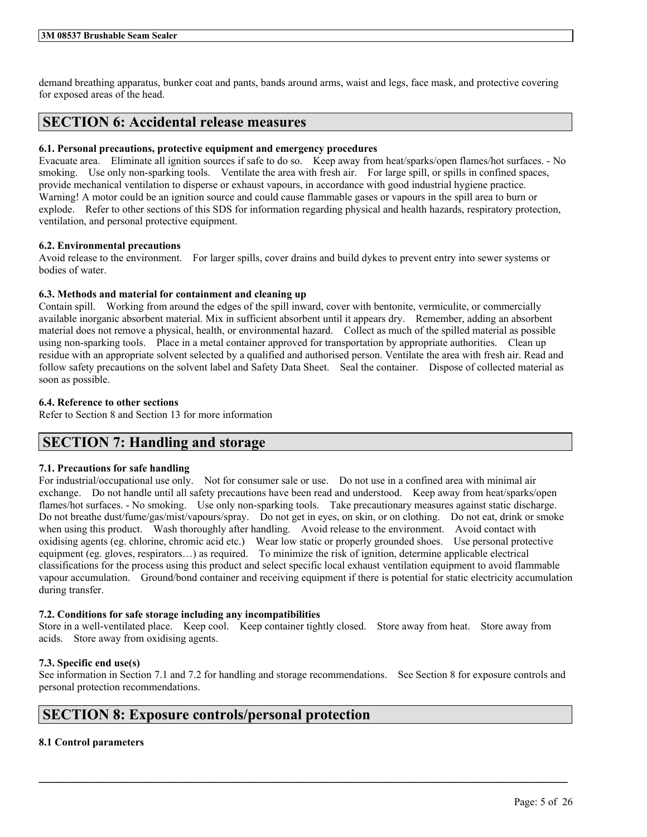#### **3M 08537 Brushable Seam Sealer**

demand breathing apparatus, bunker coat and pants, bands around arms, waist and legs, face mask, and protective covering for exposed areas of the head.

# **SECTION 6: Accidental release measures**

## **6.1. Personal precautions, protective equipment and emergency procedures**

Evacuate area. Eliminate all ignition sources if safe to do so. Keep away from heat/sparks/open flames/hot surfaces. - No smoking. Use only non-sparking tools. Ventilate the area with fresh air. For large spill, or spills in confined spaces, provide mechanical ventilation to disperse or exhaust vapours, in accordance with good industrial hygiene practice. Warning! A motor could be an ignition source and could cause flammable gases or vapours in the spill area to burn or explode. Refer to other sections of this SDS for information regarding physical and health hazards, respiratory protection, ventilation, and personal protective equipment.

## **6.2. Environmental precautions**

Avoid release to the environment. For larger spills, cover drains and build dykes to prevent entry into sewer systems or bodies of water.

## **6.3. Methods and material for containment and cleaning up**

Contain spill. Working from around the edges of the spill inward, cover with bentonite, vermiculite, or commercially available inorganic absorbent material. Mix in sufficient absorbent until it appears dry. Remember, adding an absorbent material does not remove a physical, health, or environmental hazard. Collect as much of the spilled material as possible using non-sparking tools. Place in a metal container approved for transportation by appropriate authorities. Clean up residue with an appropriate solvent selected by a qualified and authorised person. Ventilate the area with fresh air. Read and follow safety precautions on the solvent label and Safety Data Sheet. Seal the container. Dispose of collected material as soon as possible.

## **6.4. Reference to other sections**

Refer to Section 8 and Section 13 for more information

## **SECTION 7: Handling and storage**

## **7.1. Precautions for safe handling**

For industrial/occupational use only. Not for consumer sale or use. Do not use in a confined area with minimal air exchange. Do not handle until all safety precautions have been read and understood. Keep away from heat/sparks/open flames/hot surfaces. - No smoking. Use only non-sparking tools. Take precautionary measures against static discharge. Do not breathe dust/fume/gas/mist/vapours/spray. Do not get in eyes, on skin, or on clothing. Do not eat, drink or smoke when using this product. Wash thoroughly after handling. Avoid release to the environment. Avoid contact with oxidising agents (eg. chlorine, chromic acid etc.) Wear low static or properly grounded shoes. Use personal protective equipment (eg. gloves, respirators…) as required. To minimize the risk of ignition, determine applicable electrical classifications for the process using this product and select specific local exhaust ventilation equipment to avoid flammable vapour accumulation. Ground/bond container and receiving equipment if there is potential for static electricity accumulation during transfer.

## **7.2. Conditions for safe storage including any incompatibilities**

Store in a well-ventilated place. Keep cool. Keep container tightly closed. Store away from heat. Store away from acids. Store away from oxidising agents.

## **7.3. Specific end use(s)**

See information in Section 7.1 and 7.2 for handling and storage recommendations. See Section 8 for exposure controls and personal protection recommendations.

 $\mathcal{L}_\mathcal{L} = \mathcal{L}_\mathcal{L} = \mathcal{L}_\mathcal{L} = \mathcal{L}_\mathcal{L} = \mathcal{L}_\mathcal{L} = \mathcal{L}_\mathcal{L} = \mathcal{L}_\mathcal{L} = \mathcal{L}_\mathcal{L} = \mathcal{L}_\mathcal{L} = \mathcal{L}_\mathcal{L} = \mathcal{L}_\mathcal{L} = \mathcal{L}_\mathcal{L} = \mathcal{L}_\mathcal{L} = \mathcal{L}_\mathcal{L} = \mathcal{L}_\mathcal{L} = \mathcal{L}_\mathcal{L} = \mathcal{L}_\mathcal{L}$ 

# **SECTION 8: Exposure controls/personal protection**

## **8.1 Control parameters**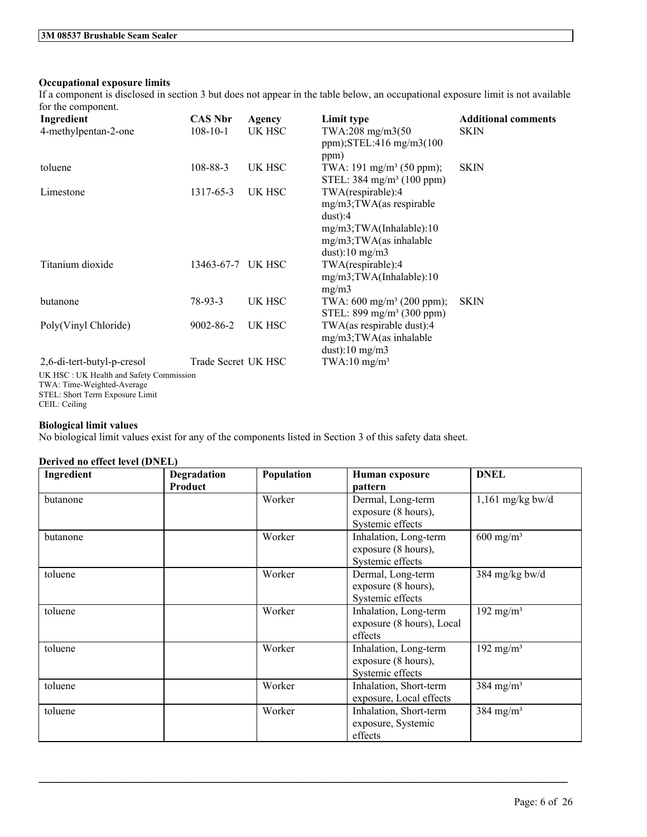## **Occupational exposure limits**

If a component is disclosed in section 3 but does not appear in the table below, an occupational exposure limit is not available for the component.

| Ingredient                                                            | <b>CAS Nbr</b>      | Agency | Limit type                                                                                                                                 | <b>Additional comments</b> |
|-----------------------------------------------------------------------|---------------------|--------|--------------------------------------------------------------------------------------------------------------------------------------------|----------------------------|
| 4-methylpentan-2-one                                                  | $108 - 10 - 1$      | UK HSC | TWA:208 mg/m3(50<br>ppm); $STEL:416$ mg/m $3(100$<br>ppm)                                                                                  | <b>SKIN</b>                |
| toluene                                                               | $108 - 88 - 3$      | UK HSC | TWA: 191 mg/m <sup>3</sup> (50 ppm);<br>STEL: $384 \text{ mg/m}^3$ (100 ppm)                                                               | <b>SKIN</b>                |
| Limestone                                                             | 1317-65-3           | UK HSC | TWA(respirable):4<br>$mg/m3$ ; TWA(as respirable<br>$dust$ :4<br>mg/m3;TWA(Inhalable):10<br>$mg/m3$ ; TWA(as inhalable<br>dust):10 $mg/m3$ |                            |
| Titanium dioxide                                                      | 13463-67-7 UK HSC   |        | TWA(respirable):4<br>mg/m3;TWA(Inhalable):10<br>mg/m3                                                                                      |                            |
| butanone                                                              | 78-93-3             | UK HSC | TWA: $600 \text{ mg/m}^3$ (200 ppm);<br>STEL: $899 \text{ mg/m}^3$ (300 ppm)                                                               | <b>SKIN</b>                |
| Poly(Vinyl Chloride)                                                  | 9002-86-2           | UK HSC | TWA(as respirable dust):4<br>mg/m3;TWA(as inhalable<br>dust):10 $mg/m3$                                                                    |                            |
| 2,6-di-tert-butyl-p-cresol                                            | Trade Secret UK HSC |        | TWA:10 $mg/m3$                                                                                                                             |                            |
| UK HSC: UK Health and Safety Commission<br>TWA: Time-Weighted-Average |                     |        |                                                                                                                                            |                            |

STEL: Short Term Exposure Limit CEIL: Ceiling

## **Biological limit values**

No biological limit values exist for any of the components listed in Section 3 of this safety data sheet.

## **Derived no effect level (DNEL)**

| Ingredient | <b>Degradation</b><br>Product | Population | Human exposure<br>pattern                                        | <b>DNEL</b>           |
|------------|-------------------------------|------------|------------------------------------------------------------------|-----------------------|
| butanone   |                               | Worker     | Dermal, Long-term<br>exposure (8 hours),<br>Systemic effects     | $1,161$ mg/kg bw/d    |
| butanone   |                               | Worker     | Inhalation, Long-term<br>exposure (8 hours),<br>Systemic effects | $600 \text{ mg/m}^3$  |
| toluene    |                               | Worker     | Dermal, Long-term<br>exposure (8 hours),<br>Systemic effects     | 384 mg/kg bw/d        |
| toluene    |                               | Worker     | Inhalation, Long-term<br>exposure (8 hours), Local<br>effects    | 192 mg/m <sup>3</sup> |
| toluene    |                               | Worker     | Inhalation, Long-term<br>exposure (8 hours),<br>Systemic effects | 192 mg/m <sup>3</sup> |
| toluene    |                               | Worker     | Inhalation, Short-term<br>exposure, Local effects                | 384 mg/m <sup>3</sup> |
| toluene    |                               | Worker     | Inhalation, Short-term<br>exposure, Systemic<br>effects          | 384 mg/m <sup>3</sup> |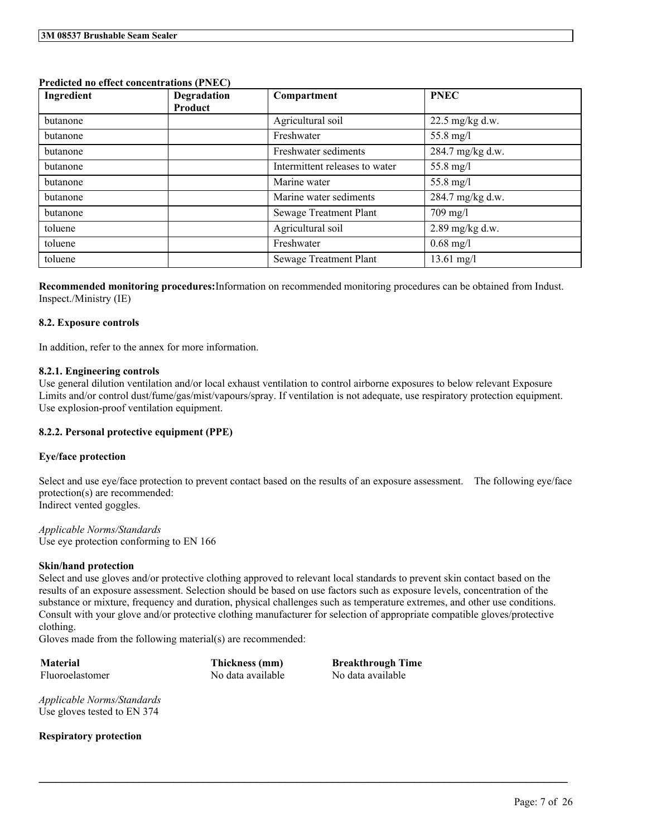## **Predicted no effect concentrations (PNEC)**

| Ingredient | Degradation<br>Product | Compartment                    | <b>PNEC</b>          |
|------------|------------------------|--------------------------------|----------------------|
| butanone   |                        | Agricultural soil              | $22.5$ mg/kg d.w.    |
| butanone   |                        | Freshwater                     | 55.8 mg/l            |
| butanone   |                        | Freshwater sediments           | 284.7 mg/kg d.w.     |
| butanone   |                        | Intermittent releases to water | 55.8 mg/l            |
| butanone   |                        | Marine water                   | 55.8 mg/l            |
| butanone   |                        | Marine water sediments         | 284.7 mg/kg d.w.     |
| butanone   |                        | Sewage Treatment Plant         | $709$ mg/l           |
| toluene    |                        | Agricultural soil              | 2.89 mg/kg d.w.      |
| toluene    |                        | Freshwater                     | $0.68 \text{ mg}/1$  |
| toluene    |                        | Sewage Treatment Plant         | $13.61 \text{ mg/l}$ |

**Recommended monitoring procedures:**Information on recommended monitoring procedures can be obtained from Indust. Inspect./Ministry (IE)

## **8.2. Exposure controls**

In addition, refer to the annex for more information.

## **8.2.1. Engineering controls**

Use general dilution ventilation and/or local exhaust ventilation to control airborne exposures to below relevant Exposure Limits and/or control dust/fume/gas/mist/vapours/spray. If ventilation is not adequate, use respiratory protection equipment. Use explosion-proof ventilation equipment.

## **8.2.2. Personal protective equipment (PPE)**

## **Eye/face protection**

Select and use eye/face protection to prevent contact based on the results of an exposure assessment. The following eye/face protection(s) are recommended: Indirect vented goggles.

*Applicable Norms/Standards* Use eye protection conforming to EN 166

## **Skin/hand protection**

Select and use gloves and/or protective clothing approved to relevant local standards to prevent skin contact based on the results of an exposure assessment. Selection should be based on use factors such as exposure levels, concentration of the substance or mixture, frequency and duration, physical challenges such as temperature extremes, and other use conditions. Consult with your glove and/or protective clothing manufacturer for selection of appropriate compatible gloves/protective clothing.

 $\mathcal{L}_\mathcal{L} = \mathcal{L}_\mathcal{L} = \mathcal{L}_\mathcal{L} = \mathcal{L}_\mathcal{L} = \mathcal{L}_\mathcal{L} = \mathcal{L}_\mathcal{L} = \mathcal{L}_\mathcal{L} = \mathcal{L}_\mathcal{L} = \mathcal{L}_\mathcal{L} = \mathcal{L}_\mathcal{L} = \mathcal{L}_\mathcal{L} = \mathcal{L}_\mathcal{L} = \mathcal{L}_\mathcal{L} = \mathcal{L}_\mathcal{L} = \mathcal{L}_\mathcal{L} = \mathcal{L}_\mathcal{L} = \mathcal{L}_\mathcal{L}$ 

Gloves made from the following material(s) are recommended:

**Material Thickness (mm) Breakthrough Time** Fluoroelastomer No data available No data available

*Applicable Norms/Standards* Use gloves tested to EN 374

**Respiratory protection**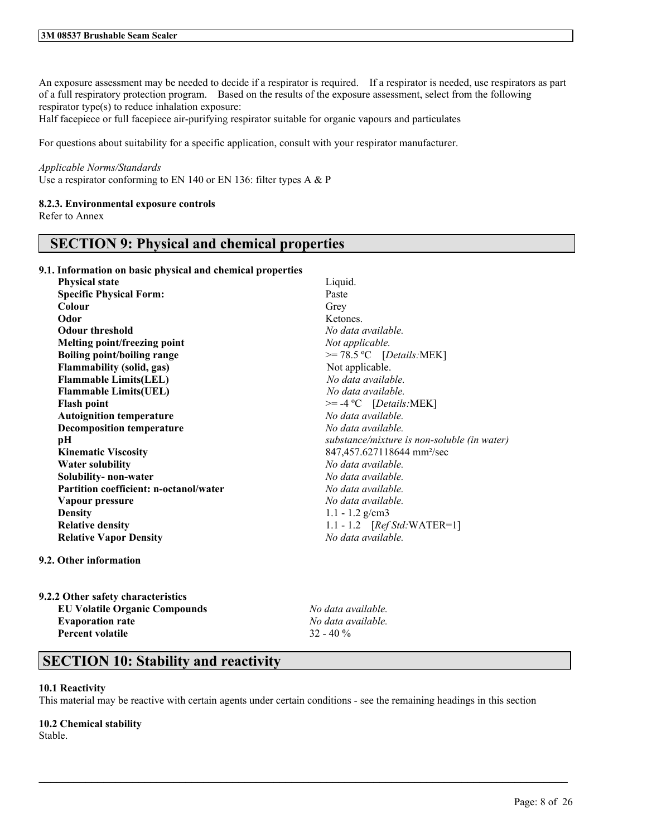An exposure assessment may be needed to decide if a respirator is required. If a respirator is needed, use respirators as part of a full respiratory protection program. Based on the results of the exposure assessment, select from the following respirator type(s) to reduce inhalation exposure:

Half facepiece or full facepiece air-purifying respirator suitable for organic vapours and particulates

For questions about suitability for a specific application, consult with your respirator manufacturer.

## *Applicable Norms/Standards*

Use a respirator conforming to EN 140 or EN 136: filter types A & P

## **8.2.3. Environmental exposure controls**

Refer to Annex

# **SECTION 9: Physical and chemical properties**

**9.1. Information on basic physical and chemical properties**

| <b>Physical state</b>                         | Liquid.                                     |
|-----------------------------------------------|---------------------------------------------|
| <b>Specific Physical Form:</b>                | Paste                                       |
| <b>Colour</b>                                 | Grey                                        |
| Odor                                          | Ketones.                                    |
| <b>Odour threshold</b>                        | No data available.                          |
| Melting point/freezing point                  | Not applicable.                             |
| <b>Boiling point/boiling range</b>            | $>= 78.5 °C$ [Details:MEK]                  |
| <b>Flammability (solid, gas)</b>              | Not applicable.                             |
| <b>Flammable Limits(LEL)</b>                  | No data available.                          |
| <b>Flammable Limits(UEL)</b>                  | No data available.                          |
| <b>Flash point</b>                            | $>= -4$ °C [Details:MEK]                    |
| <b>Autoignition temperature</b>               | No data available.                          |
| <b>Decomposition temperature</b>              | No data available.                          |
| рH                                            | substance/mixture is non-soluble (in water) |
| <b>Kinematic Viscosity</b>                    | 847,457.627118644 mm <sup>2</sup> /sec      |
| <b>Water solubility</b>                       | No data available.                          |
| Solubility- non-water                         | No data available.                          |
| <b>Partition coefficient: n-octanol/water</b> | No data available.                          |
| Vapour pressure                               | No data available.                          |
| <b>Density</b>                                | $1.1 - 1.2$ g/cm3                           |
| <b>Relative density</b>                       | 1.1 - 1.2 $[RefStd:WATER=1]$                |
| <b>Relative Vapor Density</b>                 | No data available.                          |
|                                               |                                             |

## **9.2. Other information**

| 9.2.2 Other safety characteristics   |
|--------------------------------------|
| <b>EU Volatile Organic Compounds</b> |
| <b>Evaporation rate</b>              |
| <b>Percent volatile</b>              |

**EU Volatile Organic Compounds** *No data available.* **Evaporation rate** *No data available.* **Percent volatile** 32 - 40 %

# **SECTION 10: Stability and reactivity**

## **10.1 Reactivity**

This material may be reactive with certain agents under certain conditions - see the remaining headings in this section

 $\mathcal{L}_\mathcal{L} = \mathcal{L}_\mathcal{L} = \mathcal{L}_\mathcal{L} = \mathcal{L}_\mathcal{L} = \mathcal{L}_\mathcal{L} = \mathcal{L}_\mathcal{L} = \mathcal{L}_\mathcal{L} = \mathcal{L}_\mathcal{L} = \mathcal{L}_\mathcal{L} = \mathcal{L}_\mathcal{L} = \mathcal{L}_\mathcal{L} = \mathcal{L}_\mathcal{L} = \mathcal{L}_\mathcal{L} = \mathcal{L}_\mathcal{L} = \mathcal{L}_\mathcal{L} = \mathcal{L}_\mathcal{L} = \mathcal{L}_\mathcal{L}$ 

## **10.2 Chemical stability**

Stable.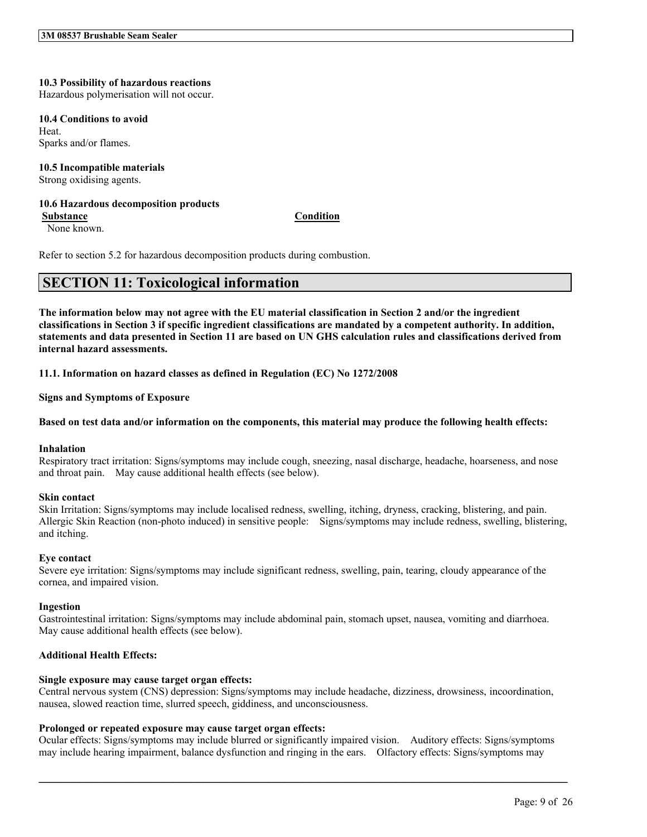## **10.3 Possibility of hazardous reactions**

Hazardous polymerisation will not occur.

#### **10.4 Conditions to avoid**

Heat. Sparks and/or flames.

## **10.5 Incompatible materials**

Strong oxidising agents.

#### **10.6 Hazardous decomposition products Substance Condition**

None known.

Refer to section 5.2 for hazardous decomposition products during combustion.

# **SECTION 11: Toxicological information**

The information below may not agree with the EU material classification in Section 2 and/or the ingredient classifications in Section 3 if specific ingredient classifications are mandated by a competent authority. In addition, statements and data presented in Section 11 are based on UN GHS calculation rules and classifications derived from **internal hazard assessments.**

**11.1. Information on hazard classes as defined in Regulation (EC) No 1272/2008**

**Signs and Symptoms of Exposure**

## Based on test data and/or information on the components, this material may produce the following health effects:

## **Inhalation**

Respiratory tract irritation: Signs/symptoms may include cough, sneezing, nasal discharge, headache, hoarseness, and nose and throat pain. May cause additional health effects (see below).

## **Skin contact**

Skin Irritation: Signs/symptoms may include localised redness, swelling, itching, dryness, cracking, blistering, and pain. Allergic Skin Reaction (non-photo induced) in sensitive people: Signs/symptoms may include redness, swelling, blistering, and itching.

## **Eye contact**

Severe eye irritation: Signs/symptoms may include significant redness, swelling, pain, tearing, cloudy appearance of the cornea, and impaired vision.

#### **Ingestion**

Gastrointestinal irritation: Signs/symptoms may include abdominal pain, stomach upset, nausea, vomiting and diarrhoea. May cause additional health effects (see below).

## **Additional Health Effects:**

## **Single exposure may cause target organ effects:**

Central nervous system (CNS) depression: Signs/symptoms may include headache, dizziness, drowsiness, incoordination, nausea, slowed reaction time, slurred speech, giddiness, and unconsciousness.

## **Prolonged or repeated exposure may cause target organ effects:**

Ocular effects: Signs/symptoms may include blurred or significantly impaired vision. Auditory effects: Signs/symptoms may include hearing impairment, balance dysfunction and ringing in the ears. Olfactory effects: Signs/symptoms may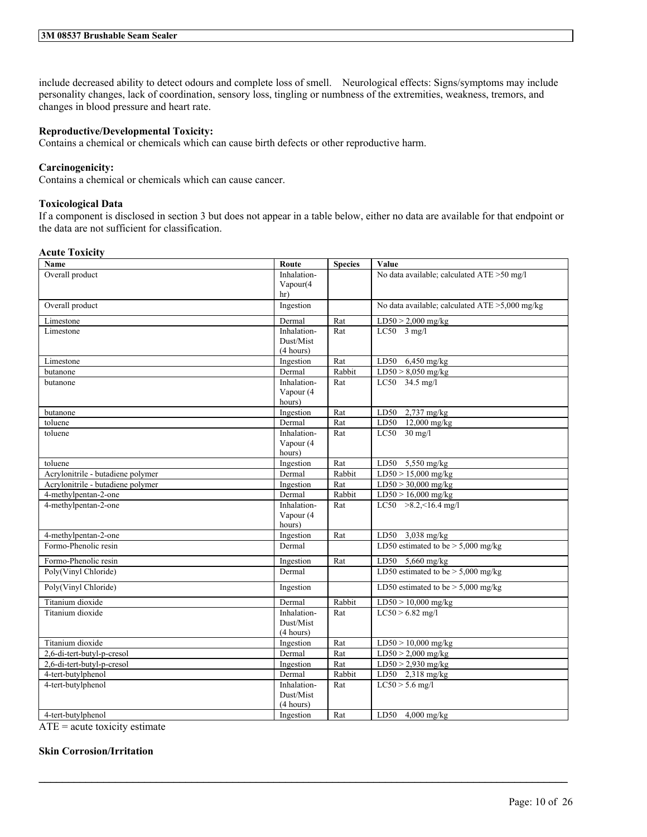include decreased ability to detect odours and complete loss of smell. Neurological effects: Signs/symptoms may include personality changes, lack of coordination, sensory loss, tingling or numbness of the extremities, weakness, tremors, and changes in blood pressure and heart rate.

## **Reproductive/Developmental Toxicity:**

Contains a chemical or chemicals which can cause birth defects or other reproductive harm.

## **Carcinogenicity:**

Contains a chemical or chemicals which can cause cancer.

## **Toxicological Data**

If a component is disclosed in section 3 but does not appear in a table below, either no data are available for that endpoint or the data are not sufficient for classification.

## **Acute Toxicity**

| Name                              | Route       | <b>Species</b> | Value                                          |
|-----------------------------------|-------------|----------------|------------------------------------------------|
| Overall product                   | Inhalation- |                | No data available; calculated ATE >50 mg/l     |
|                                   | Vapour(4    |                |                                                |
|                                   | hr)         |                |                                                |
| Overall product                   | Ingestion   |                | No data available; calculated ATE >5,000 mg/kg |
| Limestone                         | Dermal      | Rat            | $LD50 > 2,000$ mg/kg                           |
| Limestone                         | Inhalation- | Rat            | $LC50$ 3 mg/l                                  |
|                                   | Dust/Mist   |                |                                                |
|                                   | (4 hours)   |                |                                                |
| Limestone                         | Ingestion   | Rat            | LD50<br>$6,450$ mg/kg                          |
| butanone                          | Dermal      | Rabbit         | $LD50 > 8,050$ mg/kg                           |
| butanone                          | Inhalation- | Rat            | LC50 34.5 mg/l                                 |
|                                   | Vapour (4   |                |                                                |
|                                   | hours)      |                |                                                |
| butanone                          | Ingestion   | Rat            | 2,737 mg/kg<br>LD50                            |
| toluene                           | Dermal      | Rat            | $12,000 \text{ mg/kg}$<br>LD50                 |
| toluene                           | Inhalation- | Rat            | $LC50$ 30 mg/l                                 |
|                                   | Vapour (4   |                |                                                |
|                                   | hours)      |                |                                                |
| toluene                           | Ingestion   | Rat            | LD50 5,550 mg/kg                               |
| Acrylonitrile - butadiene polymer | Dermal      | Rabbit         | $LD50 > 15,000$ mg/kg                          |
| Acrylonitrile - butadiene polymer | Ingestion   | Rat            | $LD50 > 30,000$ mg/kg                          |
| 4-methylpentan-2-one              | Dermal      | Rabbit         | $LD50 > 16,000$ mg/kg                          |
| 4-methylpentan-2-one              | Inhalation- | Rat            | LC50 $>8.2, 16.4$ mg/l                         |
|                                   | Vapour (4   |                |                                                |
|                                   | hours)      |                |                                                |
| 4-methylpentan-2-one              | Ingestion   | Rat            | LD50 3,038 mg/kg                               |
| Formo-Phenolic resin              | Dermal      |                | LD50 estimated to be $>$ 5,000 mg/kg           |
| Formo-Phenolic resin              | Ingestion   | Rat            | LD50 5,660 mg/kg                               |
| Poly(Vinyl Chloride)              | Dermal      |                | LD50 estimated to be $> 5,000$ mg/kg           |
| Poly(Vinyl Chloride)              | Ingestion   |                | LD50 estimated to be $> 5,000$ mg/kg           |
| Titanium dioxide                  | Dermal      | Rabbit         | $LD50 > 10,000$ mg/kg                          |
| Titanium dioxide                  | Inhalation- | Rat            | $LC50 > 6.82$ mg/l                             |
|                                   | Dust/Mist   |                |                                                |
|                                   | (4 hours)   |                |                                                |
| Titanium dioxide                  | Ingestion   | Rat            | $LD50 > 10,000$ mg/kg                          |
| 2,6-di-tert-butyl-p-cresol        | Dermal      | Rat            | $LD50 > 2,000$ mg/kg                           |
| 2,6-di-tert-butyl-p-cresol        | Ingestion   | Rat            | $LD50 > 2,930$ mg/kg                           |
| 4-tert-butylphenol                | Dermal      | Rabbit         | LD50 2,318 mg/kg                               |
| 4-tert-butylphenol                | Inhalation- | Rat            | $LC50 > 5.6$ mg/l                              |
|                                   | Dust/Mist   |                |                                                |
|                                   | (4 hours)   |                |                                                |
| 4-tert-butylphenol                | Ingestion   | Rat            | LD50 $4,000$ mg/kg                             |

 $\mathcal{L}_\mathcal{L} = \mathcal{L}_\mathcal{L} = \mathcal{L}_\mathcal{L} = \mathcal{L}_\mathcal{L} = \mathcal{L}_\mathcal{L} = \mathcal{L}_\mathcal{L} = \mathcal{L}_\mathcal{L} = \mathcal{L}_\mathcal{L} = \mathcal{L}_\mathcal{L} = \mathcal{L}_\mathcal{L} = \mathcal{L}_\mathcal{L} = \mathcal{L}_\mathcal{L} = \mathcal{L}_\mathcal{L} = \mathcal{L}_\mathcal{L} = \mathcal{L}_\mathcal{L} = \mathcal{L}_\mathcal{L} = \mathcal{L}_\mathcal{L}$ 

 $ATE = acute$  toxicity estimate

## **Skin Corrosion/Irritation**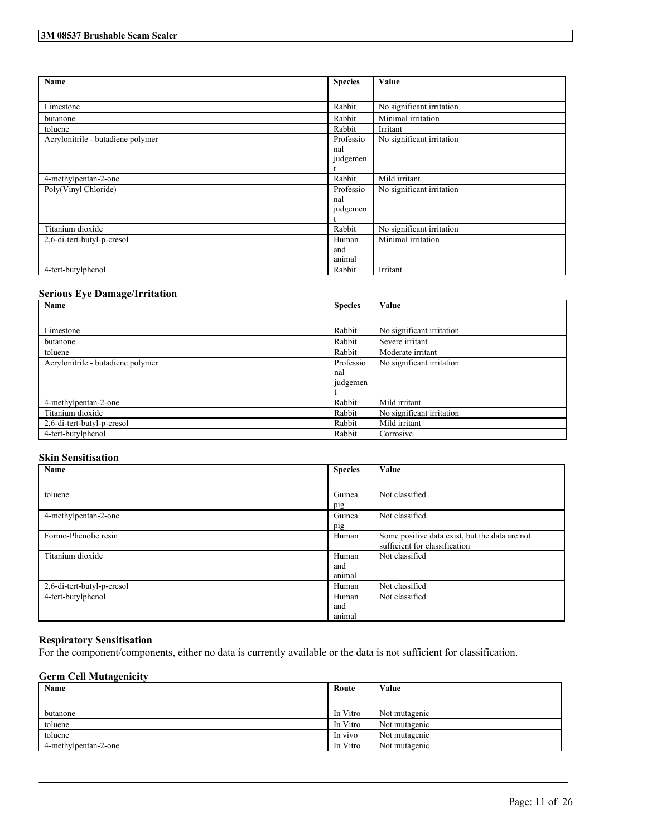| Name                              | <b>Species</b> | Value                     |
|-----------------------------------|----------------|---------------------------|
|                                   |                |                           |
|                                   |                |                           |
| Limestone                         | Rabbit         | No significant irritation |
| butanone                          | Rabbit         | Minimal irritation        |
| toluene                           | Rabbit         | Irritant                  |
| Acrylonitrile - butadiene polymer | Professio      | No significant irritation |
|                                   | nal            |                           |
|                                   | judgemen       |                           |
|                                   |                |                           |
| 4-methylpentan-2-one              | Rabbit         | Mild irritant             |
| Poly(Vinyl Chloride)              | Professio      | No significant irritation |
|                                   | nal            |                           |
|                                   | judgemen       |                           |
|                                   |                |                           |
| Titanium dioxide                  | Rabbit         | No significant irritation |
| 2,6-di-tert-butyl-p-cresol        | Human          | Minimal irritation        |
|                                   | and            |                           |
|                                   | animal         |                           |
| 4-tert-butylphenol                | Rabbit         | Irritant                  |

## **Serious Eye Damage/Irritation**

| Name                              | <b>Species</b> | Value                     |
|-----------------------------------|----------------|---------------------------|
|                                   |                |                           |
| Limestone                         | Rabbit         | No significant irritation |
| butanone                          | Rabbit         | Severe irritant           |
| toluene                           | Rabbit         | Moderate irritant         |
| Acrylonitrile - butadiene polymer | Professio      | No significant irritation |
|                                   | nal            |                           |
|                                   | judgemen       |                           |
|                                   |                |                           |
| 4-methylpentan-2-one              | Rabbit         | Mild irritant             |
| Titanium dioxide                  | Rabbit         | No significant irritation |
| 2,6-di-tert-butyl-p-cresol        | Rabbit         | Mild irritant             |
| 4-tert-butylphenol                | Rabbit         | Corrosive                 |

## **Skin Sensitisation**

| Name                       | <b>Species</b> | Value                                          |
|----------------------------|----------------|------------------------------------------------|
|                            |                |                                                |
| toluene                    | Guinea         | Not classified                                 |
|                            | pig            |                                                |
| 4-methylpentan-2-one       | Guinea         | Not classified                                 |
|                            | pig            |                                                |
| Formo-Phenolic resin       | Human          | Some positive data exist, but the data are not |
|                            |                | sufficient for classification                  |
| Titanium dioxide           | Human          | Not classified                                 |
|                            | and            |                                                |
|                            | animal         |                                                |
| 2,6-di-tert-butyl-p-cresol | Human          | Not classified                                 |
| 4-tert-butylphenol         | Human          | Not classified                                 |
|                            | and            |                                                |
|                            | animal         |                                                |

## **Respiratory Sensitisation**

For the component/components, either no data is currently available or the data is not sufficient for classification.

## **Germ Cell Mutagenicity**

| Name                 | Route    | Value         |
|----------------------|----------|---------------|
|                      |          |               |
| butanone             | In Vitro | Not mutagenic |
| toluene              | In Vitro | Not mutagenic |
| toluene              | In vivo  | Not mutagenic |
| 4-methylpentan-2-one | In Vitro | Not mutagenic |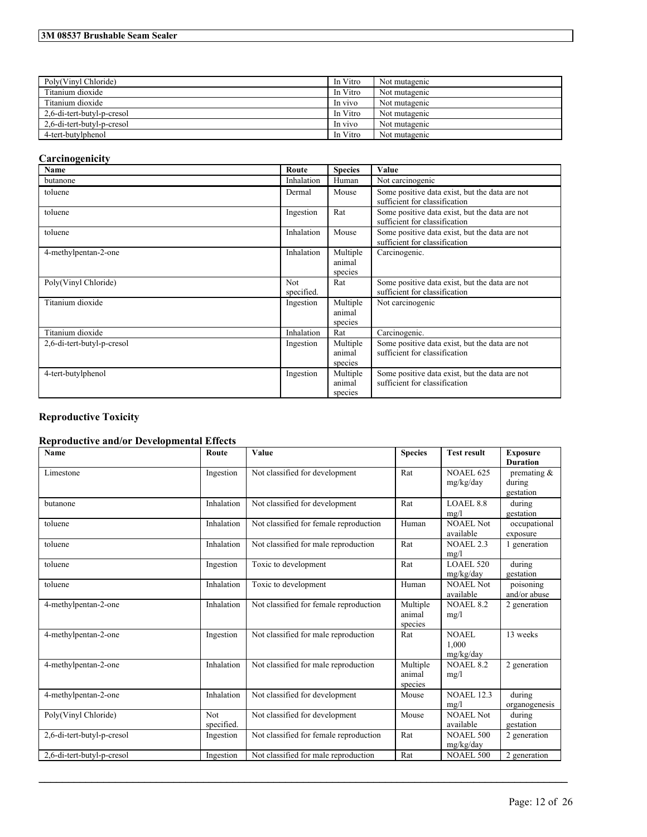## **3M 08537 Brushable Seam Sealer**

| Poly(Vinyl Chloride)       | In Vitro | Not mutagenic |
|----------------------------|----------|---------------|
| Titanium dioxide           | In Vitro | Not mutagenic |
| Titanium dioxide           | In vivo  | Not mutagenic |
| 2,6-di-tert-butyl-p-cresol | In Vitro | Not mutagenic |
| 2.6-di-tert-butyl-p-cresol | In vivo  | Not mutagenic |
| 4-tert-butylphenol         | In Vitro | Not mutagenic |

# **Carcinogenicity**

| Name                       | Route                    | <b>Species</b>                | Value                                                                           |
|----------------------------|--------------------------|-------------------------------|---------------------------------------------------------------------------------|
| butanone                   | Inhalation               | Human                         | Not carcinogenic                                                                |
| toluene                    | Dermal                   | Mouse                         | Some positive data exist, but the data are not<br>sufficient for classification |
| toluene                    | Ingestion                | Rat                           | Some positive data exist, but the data are not<br>sufficient for classification |
| toluene                    | Inhalation               | Mouse                         | Some positive data exist, but the data are not<br>sufficient for classification |
| 4-methylpentan-2-one       | Inhalation               | Multiple<br>animal<br>species | Carcinogenic.                                                                   |
| Poly(Vinyl Chloride)       | <b>Not</b><br>specified. | Rat                           | Some positive data exist, but the data are not<br>sufficient for classification |
| Titanium dioxide           | Ingestion                | Multiple<br>animal<br>species | Not carcinogenic                                                                |
| Titanium dioxide           | Inhalation               | Rat                           | Carcinogenic.                                                                   |
| 2,6-di-tert-butyl-p-cresol | Ingestion                | Multiple<br>animal<br>species | Some positive data exist, but the data are not<br>sufficient for classification |
| 4-tert-butylphenol         | Ingestion                | Multiple<br>animal<br>species | Some positive data exist, but the data are not<br>sufficient for classification |

# **Reproductive Toxicity**

# **Reproductive and/or Developmental Effects**

| <b>Name</b>                | Route              | Value                                  | <b>Species</b>                | <b>Test result</b>            | <b>Exposure</b><br><b>Duration</b>                        |
|----------------------------|--------------------|----------------------------------------|-------------------------------|-------------------------------|-----------------------------------------------------------|
| Limestone                  | Ingestion          | Not classified for development         | Rat                           | <b>NOAEL 625</b><br>mg/kg/day | premating $\overline{\mathcal{X}}$<br>during<br>gestation |
| butanone                   | Inhalation         | Not classified for development         | Rat                           | <b>LOAEL 8.8</b><br>mg/l      | during<br>gestation                                       |
| toluene                    | Inhalation         | Not classified for female reproduction | Human                         | <b>NOAEL Not</b><br>available | occupational<br>exposure                                  |
| toluene                    | Inhalation         | Not classified for male reproduction   | Rat                           | NOAEL 2.3<br>mg/l             | 1 generation                                              |
| toluene                    | Ingestion          | Toxic to development                   | Rat                           | <b>LOAEL 520</b><br>mg/kg/day | during<br>gestation                                       |
| toluene                    | Inhalation         | Toxic to development                   | Human                         | NOAEL Not<br>available        | poisoning<br>and/or abuse                                 |
| 4-methylpentan-2-one       | Inhalation         | Not classified for female reproduction | Multiple<br>animal<br>species | <b>NOAEL 8.2</b><br>mg/l      | 2 generation                                              |
| 4-methylpentan-2-one       | Ingestion          | Not classified for male reproduction   | Rat                           | NOAEL<br>1.000<br>mg/kg/day   | 13 weeks                                                  |
| 4-methylpentan-2-one       | Inhalation         | Not classified for male reproduction   | Multiple<br>animal<br>species | <b>NOAEL 8.2</b><br>mg/l      | 2 generation                                              |
| 4-methylpentan-2-one       | Inhalation         | Not classified for development         | Mouse                         | <b>NOAEL 12.3</b><br>mg/l     | during<br>organogenesis                                   |
| Poly(Vinyl Chloride)       | Not.<br>specified. | Not classified for development         | Mouse                         | <b>NOAEL Not</b><br>available | during<br>gestation                                       |
| 2,6-di-tert-butyl-p-cresol | Ingestion          | Not classified for female reproduction | Rat                           | <b>NOAEL 500</b><br>mg/kg/day | 2 generation                                              |
| 2,6-di-tert-butyl-p-cresol | Ingestion          | Not classified for male reproduction   | Rat                           | <b>NOAEL 500</b>              | 2 generation                                              |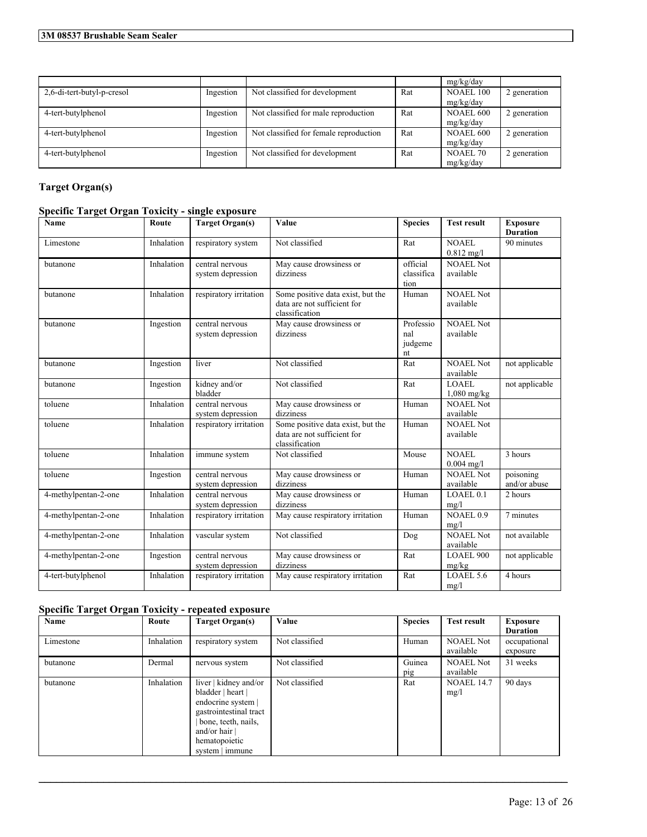|                            |           |                                        |     | mg/kg/day       |              |
|----------------------------|-----------|----------------------------------------|-----|-----------------|--------------|
| 2,6-di-tert-butyl-p-cresol | Ingestion | Not classified for development         | Rat | NOAEL 100       | 2 generation |
|                            |           |                                        |     | mg/kg/day       |              |
| 4-tert-butylphenol         | Ingestion | Not classified for male reproduction   | Rat | NOAEL 600       | 2 generation |
|                            |           |                                        |     | mg/kg/day       |              |
| 4-tert-butylphenol         | Ingestion | Not classified for female reproduction | Rat | NOAEL 600       | 2 generation |
|                            |           |                                        |     | mg/kg/day       |              |
| 4-tert-butylphenol         | Ingestion | Not classified for development         | Rat | <b>NOAEL 70</b> | 2 generation |
|                            |           |                                        |     | mg/kg/day       |              |

# **Target Organ(s)**

## **Specific Target Organ Toxicity - single exposure**

| Name                 | Route      | <b>Target Organ(s)</b>               | Value                                                                              | <b>Species</b>                    | <b>Test result</b>            | <b>Exposure</b>           |
|----------------------|------------|--------------------------------------|------------------------------------------------------------------------------------|-----------------------------------|-------------------------------|---------------------------|
|                      |            |                                      |                                                                                    |                                   |                               | <b>Duration</b>           |
| Limestone            | Inhalation | respiratory system                   | Not classified                                                                     | Rat                               | <b>NOAEL</b><br>$0.812$ mg/l  | 90 minutes                |
| butanone             | Inhalation | central nervous<br>system depression | May cause drowsiness or<br>dizziness                                               | official<br>classifica<br>tion    | <b>NOAEL Not</b><br>available |                           |
| butanone             | Inhalation | respiratory irritation               | Some positive data exist, but the<br>data are not sufficient for<br>classification | Human                             | <b>NOAEL Not</b><br>available |                           |
| butanone             | Ingestion  | central nervous<br>system depression | May cause drowsiness or<br>dizziness                                               | Professio<br>nal<br>judgeme<br>nt | <b>NOAEL Not</b><br>available |                           |
| butanone             | Ingestion  | liver                                | Not classified                                                                     | Rat                               | <b>NOAEL Not</b><br>available | not applicable            |
| butanone             | Ingestion  | kidney and/or<br>bladder             | Not classified                                                                     | Rat                               | <b>LOAEL</b><br>$1,080$ mg/kg | not applicable            |
| toluene              | Inhalation | central nervous<br>system depression | May cause drowsiness or<br>dizziness                                               | Human                             | <b>NOAEL Not</b><br>available |                           |
| toluene              | Inhalation | respiratory irritation               | Some positive data exist, but the<br>data are not sufficient for<br>classification | Human                             | <b>NOAEL Not</b><br>available |                           |
| toluene              | Inhalation | immune system                        | Not classified                                                                     | Mouse                             | NOAEL<br>$0.004$ mg/l         | 3 hours                   |
| toluene              | Ingestion  | central nervous<br>system depression | May cause drowsiness or<br>dizziness                                               | Human                             | <b>NOAEL Not</b><br>available | poisoning<br>and/or abuse |
| 4-methylpentan-2-one | Inhalation | central nervous<br>system depression | May cause drowsiness or<br>dizziness                                               | Human                             | LOAEL 0.1<br>mg/l             | 2 hours                   |
| 4-methylpentan-2-one | Inhalation | respiratory irritation               | May cause respiratory irritation                                                   | Human                             | NOAEL <sub>0.9</sub><br>mg/l  | 7 minutes                 |
| 4-methylpentan-2-one | Inhalation | vascular system                      | Not classified                                                                     | Dog                               | <b>NOAEL Not</b><br>available | not available             |
| 4-methylpentan-2-one | Ingestion  | central nervous<br>system depression | May cause drowsiness or<br>dizziness                                               | Rat                               | LOAEL 900<br>mg/kg            | not applicable            |
| 4-tert-butylphenol   | Inhalation | respiratory irritation               | May cause respiratory irritation                                                   | Rat                               | LOAEL 5.6<br>mg/l             | 4 hours                   |

## **Specific Target Organ Toxicity - repeated exposure**

| Name      | Route      | <b>Target Organ(s)</b>                                                                                                                                                   | Value          | <b>Species</b> | <b>Test result</b>            | <b>Exposure</b><br><b>Duration</b> |
|-----------|------------|--------------------------------------------------------------------------------------------------------------------------------------------------------------------------|----------------|----------------|-------------------------------|------------------------------------|
| Limestone | Inhalation | respiratory system                                                                                                                                                       | Not classified | Human          | <b>NOAEL Not</b><br>available | occupational<br>exposure           |
| butanone  | Dermal     | nervous system                                                                                                                                                           | Not classified | Guinea<br>pig  | <b>NOAEL Not</b><br>available | 31 weeks                           |
| butanone  | Inhalation | liver   kidney and/or<br>bladder   heart  <br>endocrine system  <br>gastrointestinal tract<br>bone, teeth, nails,<br>and/or hair $ $<br>hematopoietic<br>system   immune | Not classified | Rat            | <b>NOAEL 14.7</b><br>mg/l     | 90 days                            |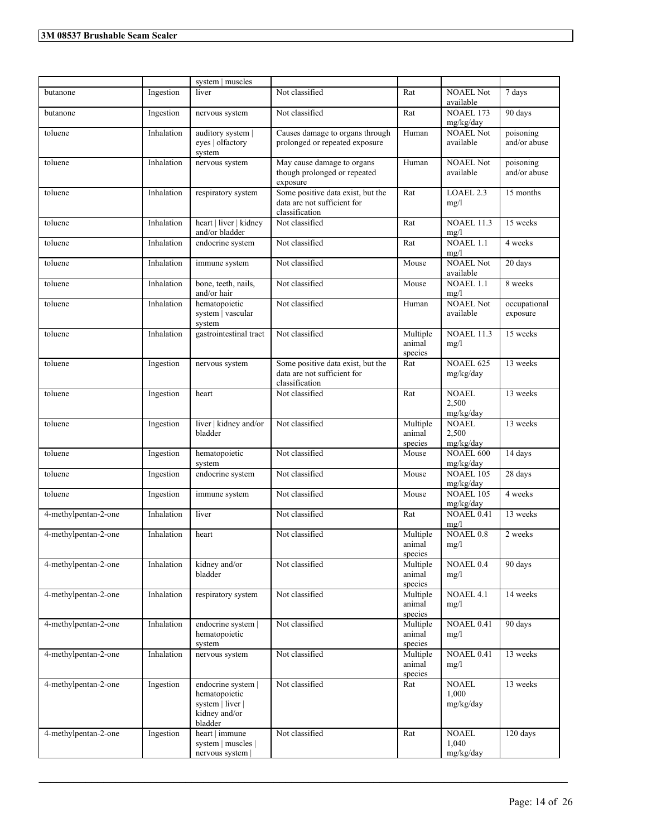|                      |            | system   muscles                                                                    |                                                                                    |                               |                                    |                           |
|----------------------|------------|-------------------------------------------------------------------------------------|------------------------------------------------------------------------------------|-------------------------------|------------------------------------|---------------------------|
| butanone             | Ingestion  | liver                                                                               | Not classified                                                                     | Rat                           | <b>NOAEL Not</b><br>available      | 7 days                    |
| butanone             | Ingestion  | nervous system                                                                      | Not classified                                                                     | Rat                           | <b>NOAEL 173</b><br>mg/kg/day      | 90 days                   |
| toluene              | Inhalation | auditory system  <br>eyes   olfactory<br>system                                     | Causes damage to organs through<br>prolonged or repeated exposure                  | Human                         | <b>NOAEL Not</b><br>available      | poisoning<br>and/or abuse |
| toluene              | Inhalation | nervous system                                                                      | May cause damage to organs<br>though prolonged or repeated<br>exposure             | Human                         | <b>NOAEL Not</b><br>available      | poisoning<br>and/or abuse |
| toluene              | Inhalation | respiratory system                                                                  | Some positive data exist, but the<br>data are not sufficient for<br>classification | Rat                           | LOAEL 2.3<br>mg/l                  | 15 months                 |
| toluene              | Inhalation | heart   liver   kidney<br>and/or bladder                                            | Not classified                                                                     | Rat                           | <b>NOAEL 11.3</b><br>mg/l          | 15 weeks                  |
| toluene              | Inhalation | endocrine system                                                                    | Not classified                                                                     | Rat                           | $NOAEL$ 1.1<br>mg/l                | 4 weeks                   |
| toluene              | Inhalation | immune system                                                                       | Not classified                                                                     | Mouse                         | <b>NOAEL Not</b><br>available      | 20 days                   |
| toluene              | Inhalation | bone, teeth, nails,<br>and/or hair                                                  | Not classified                                                                     | Mouse                         | <b>NOAEL 1.1</b><br>mg/l           | 8 weeks                   |
| toluene              | Inhalation | hematopoietic<br>system   vascular<br>system                                        | Not classified                                                                     | Human                         | <b>NOAEL Not</b><br>available      | occupational<br>exposure  |
| toluene              | Inhalation | gastrointestinal tract                                                              | Not classified                                                                     | Multiple<br>animal<br>species | <b>NOAEL 11.3</b><br>mg/l          | 15 weeks                  |
| toluene              | Ingestion  | nervous system                                                                      | Some positive data exist, but the<br>data are not sufficient for<br>classification | Rat                           | <b>NOAEL 625</b><br>mg/kg/day      | 13 weeks                  |
| toluene              | Ingestion  | heart                                                                               | Not classified                                                                     | Rat                           | <b>NOAEL</b><br>2,500<br>mg/kg/day | 13 weeks                  |
| toluene              | Ingestion  | liver   kidney and/or<br>bladder                                                    | Not classified                                                                     | Multiple<br>animal<br>species | <b>NOAEL</b><br>2,500<br>mg/kg/day | 13 weeks                  |
| toluene              | Ingestion  | hematopoietic<br>system                                                             | Not classified                                                                     | Mouse                         | <b>NOAEL 600</b><br>mg/kg/day      | 14 days                   |
| toluene              | Ingestion  | endocrine system                                                                    | Not classified                                                                     | Mouse                         | <b>NOAEL 105</b><br>mg/kg/day      | 28 days                   |
| toluene              | Ingestion  | immune system                                                                       | Not classified                                                                     | Mouse                         | <b>NOAEL 105</b><br>mg/kg/day      | 4 weeks                   |
| 4-methylpentan-2-one | Inhalation | liver                                                                               | Not classified                                                                     | Rat                           | NOAEL 0.41<br>mg/l                 | 13 weeks                  |
| 4-methylpentan-2-one | Inhalation | heart                                                                               | Not classified                                                                     | Multiple<br>animal<br>species | <b>NOAEL 0.8</b><br>mg/l           | 2 weeks                   |
| 4-methylpentan-2-one | Inhalation | kidney and/or<br>bladder                                                            | Not classified                                                                     | Multiple<br>animal<br>species | NOAEL 0.4<br>mg/l                  | 90 days                   |
| 4-methylpentan-2-one | Inhalation | respiratory system                                                                  | Not classified                                                                     | Multiple<br>animal<br>species | NOAEL 4.1<br>mg/l                  | 14 weeks                  |
| 4-methylpentan-2-one | Inhalation | endocrine system  <br>hematopoietic<br>system                                       | Not classified                                                                     | Multiple<br>animal<br>species | NOAEL 0.41<br>mg/l                 | 90 days                   |
| 4-methylpentan-2-one | Inhalation | nervous system                                                                      | Not classified                                                                     | Multiple<br>animal<br>species | NOAEL 0.41<br>mg/l                 | 13 weeks                  |
| 4-methylpentan-2-one | Ingestion  | endocrine system  <br>hematopoietic<br>system   liver  <br>kidney and/or<br>bladder | Not classified                                                                     | Rat                           | <b>NOAEL</b><br>1,000<br>mg/kg/day | 13 weeks                  |
| 4-methylpentan-2-one | Ingestion  | heart   immune<br>system   muscles  <br>nervous system                              | Not classified                                                                     | Rat                           | <b>NOAEL</b><br>1,040<br>mg/kg/day | 120 days                  |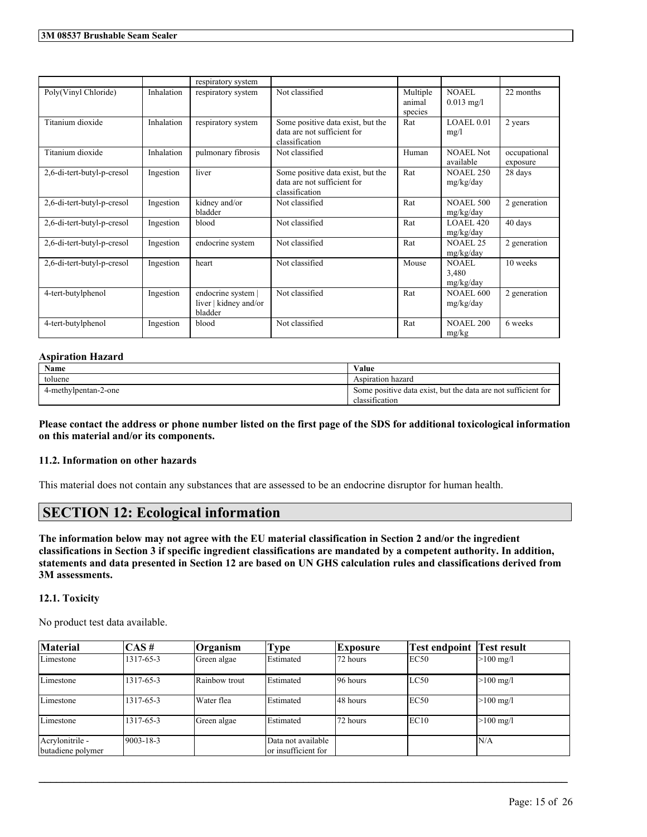|                            |            | respiratory system                                     |                                                                                    |                               |                               |                          |
|----------------------------|------------|--------------------------------------------------------|------------------------------------------------------------------------------------|-------------------------------|-------------------------------|--------------------------|
| Poly(Vinyl Chloride)       | Inhalation | respiratory system                                     | Not classified                                                                     | Multiple<br>animal<br>species | <b>NOAEL</b><br>$0.013$ mg/l  | 22 months                |
| Titanium dioxide           | Inhalation | respiratory system                                     | Some positive data exist, but the<br>data are not sufficient for<br>classification | Rat                           | LOAEL 0.01<br>mg/l            | 2 years                  |
| Titanium dioxide           | Inhalation | pulmonary fibrosis                                     | Not classified                                                                     | Human                         | <b>NOAEL</b> Not<br>available | occupational<br>exposure |
| 2,6-di-tert-butyl-p-cresol | Ingestion  | liver                                                  | Some positive data exist, but the<br>data are not sufficient for<br>classification | Rat                           | <b>NOAEL 250</b><br>mg/kg/day | 28 days                  |
| 2,6-di-tert-butyl-p-cresol | Ingestion  | kidney and/or<br>bladder                               | Not classified                                                                     | Rat                           | <b>NOAEL 500</b><br>mg/kg/day | 2 generation             |
| 2,6-di-tert-butyl-p-cresol | Ingestion  | blood                                                  | Not classified                                                                     | Rat                           | LOAEL 420<br>mg/kg/day        | 40 days                  |
| 2,6-di-tert-butyl-p-cresol | Ingestion  | endocrine system                                       | Not classified                                                                     | Rat                           | <b>NOAEL 25</b><br>mg/kg/day  | 2 generation             |
| 2,6-di-tert-butyl-p-cresol | Ingestion  | heart                                                  | Not classified                                                                     | Mouse                         | NOAEL<br>3,480<br>mg/kg/day   | 10 weeks                 |
| 4-tert-butylphenol         | Ingestion  | endocrine system  <br>liver   kidney and/or<br>bladder | Not classified                                                                     | Rat                           | <b>NOAEL 600</b><br>mg/kg/day | 2 generation             |
| 4-tert-butylphenol         | Ingestion  | blood                                                  | Not classified                                                                     | Rat                           | <b>NOAEL 200</b><br>mg/kg     | 6 weeks                  |

## **Aspiration Hazard**

| Name                 | Value                                                         |
|----------------------|---------------------------------------------------------------|
| toluene              | Aspiration hazard                                             |
| 4-methylpentan-2-one | Some positive data exist, but the data are not sufficient for |
|                      | classification                                                |

Please contact the address or phone number listed on the first page of the SDS for additional toxicological information **on this material and/or its components.**

## **11.2. Information on other hazards**

This material does not contain any substances that are assessed to be an endocrine disruptor for human health.

# **SECTION 12: Ecological information**

The information below may not agree with the EU material classification in Section 2 and/or the ingredient classifications in Section 3 if specific ingredient classifications are mandated by a competent authority. In addition, statements and data presented in Section 12 are based on UN GHS calculation rules and classifications derived from **3M assessments.**

## **12.1. Toxicity**

No product test data available.

| <b>Material</b>                      | $\overline{CAS}$ # | Organism      | Type                                      | Exposure | <b>Test endpoint Test result</b> |                     |
|--------------------------------------|--------------------|---------------|-------------------------------------------|----------|----------------------------------|---------------------|
| Limestone                            | 1317-65-3          | Green algae   | Estimated                                 | 72 hours | EC50                             | $>100 \text{ mg/l}$ |
| Limestone                            | 1317-65-3          | Rainbow trout | Estimated                                 | 96 hours | LC50                             | $>100 \text{ mg/l}$ |
| Limestone                            | 1317-65-3          | Water flea    | Estimated                                 | 48 hours | EC50                             | $>100 \text{ mg/l}$ |
| Limestone                            | 1317-65-3          | Green algae   | Estimated                                 | 72 hours | EC <sub>10</sub>                 | $>100 \text{ mg/l}$ |
| Acrylonitrile -<br>butadiene polymer | $9003 - 18 - 3$    |               | Data not available<br>or insufficient for |          |                                  | N/A                 |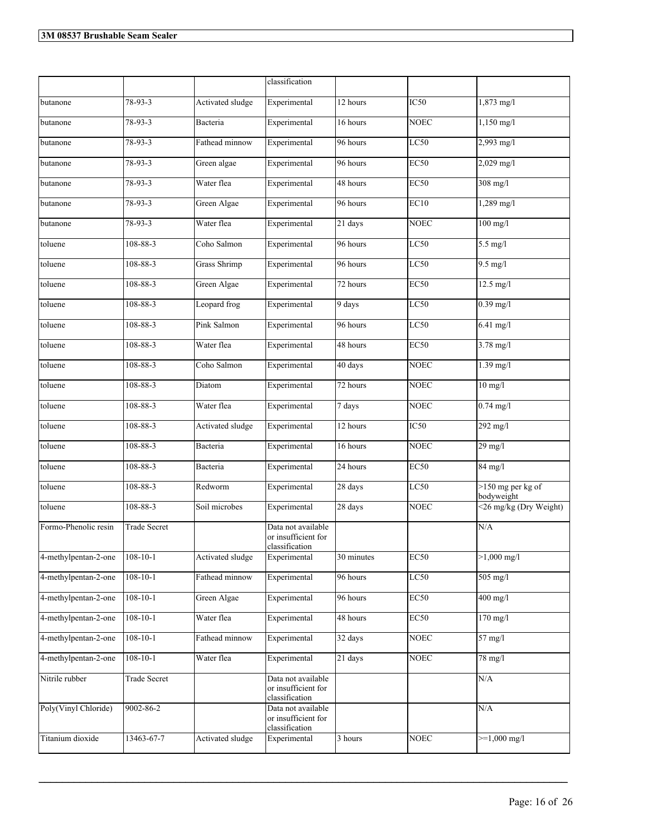|                      |                     |                     | classification                                              |            |             |                                   |
|----------------------|---------------------|---------------------|-------------------------------------------------------------|------------|-------------|-----------------------------------|
|                      |                     |                     |                                                             |            |             |                                   |
| butanone             | 78-93-3             | Activated sludge    | Experimental                                                | 12 hours   | IC50        | 1,873 mg/l                        |
| butanone             | 78-93-3             | Bacteria            | Experimental                                                | 16 hours   | <b>NOEC</b> | $1,150$ mg/l                      |
| butanone             | 78-93-3             | Fathead minnow      | Experimental                                                | 96 hours   | LC50        | $2,993$ mg/l                      |
| butanone             | 78-93-3             | Green algae         | Experimental                                                | 96 hours   | <b>EC50</b> | 2,029 mg/l                        |
| butanone             | 78-93-3             | Water flea          | Experimental                                                | 48 hours   | <b>EC50</b> | $308$ mg/l                        |
| butanone             | $78-93-3$           | Green Algae         | Experimental                                                | 96 hours   | EC10        | $1,289$ mg/l                      |
| butanone             | $78 - 93 - 3$       | Water flea          | Experimental                                                | 21 days    | <b>NOEC</b> | $100$ mg/l                        |
| toluene              | $108 - 88 - 3$      | Coho Salmon         | Experimental                                                | 96 hours   | LC50        | $5.5$ mg/l                        |
| toluene              | 108-88-3            | <b>Grass Shrimp</b> | Experimental                                                | 96 hours   | LC50        | $9.5$ mg/l                        |
| toluene              | 108-88-3            | Green Algae         | Experimental                                                | 72 hours   | <b>EC50</b> | $12.5 \text{ mg/l}$               |
| toluene              | $108 - 88 - 3$      | Leopard frog        | Experimental                                                | 9 days     | LC50        | $0.39$ mg/l                       |
| toluene              | 108-88-3            | Pink Salmon         | Experimental                                                | 96 hours   | LC50        | 6.41 mg/l                         |
| toluene              | 108-88-3            | Water flea          | Experimental                                                | 48 hours   | <b>EC50</b> | $3.78 \text{ mg}/1$               |
| toluene              | 108-88-3            | Coho Salmon         | Experimental                                                | 40 days    | <b>NOEC</b> | $1.39$ mg/l                       |
| toluene              | 108-88-3            | Diatom              | Experimental                                                | 72 hours   | <b>NOEC</b> | $10$ mg/l                         |
| toluene              | 108-88-3            | Water flea          | Experimental                                                | 7 days     | <b>NOEC</b> | $0.74$ mg/l                       |
| toluene              | 108-88-3            | Activated sludge    | Experimental                                                | 12 hours   | IC50        | 292 mg/l                          |
| toluene              | 108-88-3            | Bacteria            | Experimental                                                | 16 hours   | <b>NOEC</b> | 29 mg/l                           |
| toluene              | $108 - 88 - 3$      | Bacteria            | Experimental                                                | 24 hours   | EC50        | 84 mg/l                           |
| toluene              | $108 - 88 - 3$      | Redworm             | Experimental                                                | 28 days    | LC50        | $>150$ mg per kg of<br>bodyweight |
| toluene              | $108 - 88 - 3$      | Soil microbes       | Experimental                                                | 28 days    | <b>NOEC</b> | <26 mg/kg (Dry Weight)            |
| Formo-Phenolic resin | <b>Trade Secret</b> |                     | Data not available<br>or insufficient for<br>classification |            |             | N/A                               |
| 4-methylpentan-2-one | $108 - 10 - 1$      | Activated sludge    | Experimental                                                | 30 minutes | EC50        | $>1,000$ mg/l                     |
| 4-methylpentan-2-one | $108 - 10 - 1$      | Fathead minnow      | Experimental                                                | 96 hours   | LC50        | 505 mg/l                          |
| 4-methylpentan-2-one | $108 - 10 - 1$      | Green Algae         | Experimental                                                | 96 hours   | EC50        | $400$ mg/l                        |
| 4-methylpentan-2-one | $108 - 10 - 1$      | Water flea          | Experimental                                                | 48 hours   | <b>EC50</b> | $170$ mg/l                        |
| 4-methylpentan-2-one | $108 - 10 - 1$      | Fathead minnow      | Experimental                                                | 32 days    | <b>NOEC</b> | 57 mg/l                           |
| 4-methylpentan-2-one | $108 - 10 - 1$      | Water flea          | Experimental                                                | 21 days    | <b>NOEC</b> | 78 mg/l                           |
| Nitrile rubber       | Trade Secret        |                     | Data not available<br>or insufficient for<br>classification |            |             | N/A                               |
| Poly(Vinyl Chloride) | 9002-86-2           |                     | Data not available<br>or insufficient for<br>classification |            |             | N/A                               |
| Titanium dioxide     | 13463-67-7          | Activated sludge    | Experimental                                                | 3 hours    | <b>NOEC</b> | $>=1,000 \text{ mg/l}$            |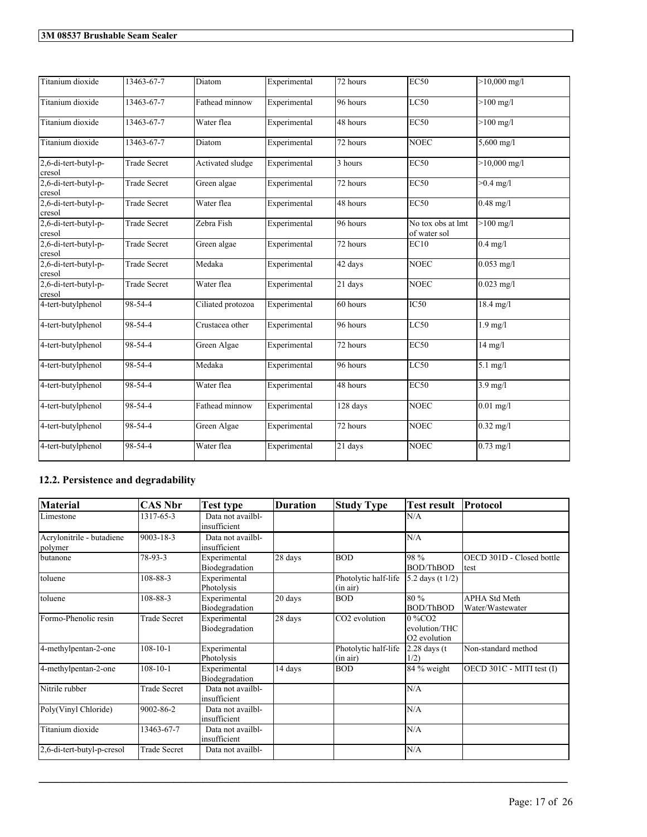| Titanium dioxide               | 13463-67-7          | Diatom            | Experimental | $\overline{7}$ 2 hours | <b>EC50</b>                       | $>10,000$ mg/l    |
|--------------------------------|---------------------|-------------------|--------------|------------------------|-----------------------------------|-------------------|
| Titanium dioxide               | 13463-67-7          | Fathead minnow    | Experimental | 96 hours               | LC50                              | $>100$ mg/l       |
| Titanium dioxide               | 13463-67-7          | Water flea        | Experimental | 48 hours               | <b>EC50</b>                       | $>100$ mg/l       |
| Titanium dioxide               | 13463-67-7          | Diatom            | Experimental | 72 hours               | <b>NOEC</b>                       | $5,600$ mg/l      |
| 2,6-di-tert-butyl-p-<br>cresol | <b>Trade Secret</b> | Activated sludge  | Experimental | 3 hours                | EC50                              | $>10,000$ mg/l    |
| 2,6-di-tert-butyl-p-<br>cresol | <b>Trade Secret</b> | Green algae       | Experimental | 72 hours               | EC50                              | $>0.4$ mg/l       |
| 2,6-di-tert-butyl-p-<br>cresol | <b>Trade Secret</b> | Water flea        | Experimental | 48 hours               | EC50                              | $0.48$ mg/l       |
| 2,6-di-tert-butyl-p-<br>cresol | <b>Trade Secret</b> | Zebra Fish        | Experimental | 96 hours               | No tox obs at lmt<br>of water sol | $>100$ mg/l       |
| 2,6-di-tert-butyl-p-<br>cresol | <b>Trade Secret</b> | Green algae       | Experimental | 72 hours               | EC10                              | $0.4$ mg/l        |
| 2,6-di-tert-butyl-p-<br>cresol | <b>Trade Secret</b> | Medaka            | Experimental | 42 days                | <b>NOEC</b>                       | $0.053$ mg/l      |
| 2,6-di-tert-butyl-p-<br>cresol | <b>Trade Secret</b> | Water flea        | Experimental | 21 days                | <b>NOEC</b>                       | $0.023$ mg/l      |
| 4-tert-butylphenol             | 98-54-4             | Ciliated protozoa | Experimental | 60 hours               | IC50                              | $18.4$ mg/l       |
| 4-tert-butylphenol             | 98-54-4             | Crustacea other   | Experimental | 96 hours               | LC50                              | $1.9$ mg/l        |
| 4-tert-butylphenol             | 98-54-4             | Green Algae       | Experimental | 72 hours               | <b>EC50</b>                       | $14 \text{ mg/l}$ |
| 4-tert-butylphenol             | 98-54-4             | Medaka            | Experimental | 96 hours               | LC50                              | $5.1$ mg/l        |
| 4-tert-butylphenol             | 98-54-4             | Water flea        | Experimental | 48 hours               | <b>EC50</b>                       | $3.9$ mg/l        |
| 4-tert-butylphenol             | 98-54-4             | Fathead minnow    | Experimental | 128 days               | <b>NOEC</b>                       | $0.01$ mg/l       |
| 4-tert-butylphenol             | 98-54-4             | Green Algae       | Experimental | 72 hours               | <b>NOEC</b>                       | $0.32$ mg/l       |
| 4-tert-butylphenol             | 98-54-4             | Water flea        | Experimental | 21 days                | <b>NOEC</b>                       | $0.73$ mg/l       |

# **12.2. Persistence and degradability**

| <b>Material</b>                      | <b>CAS Nbr</b>      | <b>Test type</b>                  | <b>Duration</b> | <b>Study Type</b>                | <b>Test result</b>                                                 | Protocol                                 |
|--------------------------------------|---------------------|-----------------------------------|-----------------|----------------------------------|--------------------------------------------------------------------|------------------------------------------|
| Limestone                            | 1317-65-3           | Data not availbl-<br>insufficient |                 |                                  | N/A                                                                |                                          |
| Acrylonitrile - butadiene<br>polymer | 9003-18-3           | Data not availbl-<br>insufficient |                 |                                  | N/A                                                                |                                          |
| butanone                             | 78-93-3             | Experimental<br>Biodegradation    | 28 days         | <b>BOD</b>                       | 98 %<br><b>BOD/ThBOD</b>                                           | OECD 301D - Closed bottle<br>ltest       |
| toluene                              | 108-88-3            | Experimental<br>Photolysis        |                 | Photolytic half-life<br>(in air) | 5.2 days (t $1/2$ )                                                |                                          |
| toluene                              | 108-88-3            | Experimental<br>Biodegradation    | 20 days         | <b>BOD</b>                       | 80 %<br><b>BOD/ThBOD</b>                                           | <b>APHA Std Meth</b><br>Water/Wastewater |
| Formo-Phenolic resin                 | <b>Trade Secret</b> | Experimental<br>Biodegradation    | 28 days         | CO <sub>2</sub> evolution        | $0\%$ CO <sub>2</sub><br>evolution/THC<br>O <sub>2</sub> evolution |                                          |
| 4-methylpentan-2-one                 | $108 - 10 - 1$      | Experimental<br>Photolysis        |                 | Photolytic half-life<br>(in air) | $2.28$ days (t<br>1/2)                                             | Non-standard method                      |
| 4-methylpentan-2-one                 | $108 - 10 - 1$      | Experimental<br>Biodegradation    | 14 days         | <b>BOD</b>                       | 84 % weight                                                        | OECD 301C - MITI test (I)                |
| Nitrile rubber                       | <b>Trade Secret</b> | Data not availbl-<br>insufficient |                 |                                  | N/A                                                                |                                          |
| Poly(Vinyl Chloride)                 | 9002-86-2           | Data not availbl-<br>insufficient |                 |                                  | N/A                                                                |                                          |
| Titanium dioxide                     | 13463-67-7          | Data not availbl-<br>insufficient |                 |                                  | N/A                                                                |                                          |
| 2,6-di-tert-butyl-p-cresol           | <b>Trade Secret</b> | Data not availbl-                 |                 |                                  | N/A                                                                |                                          |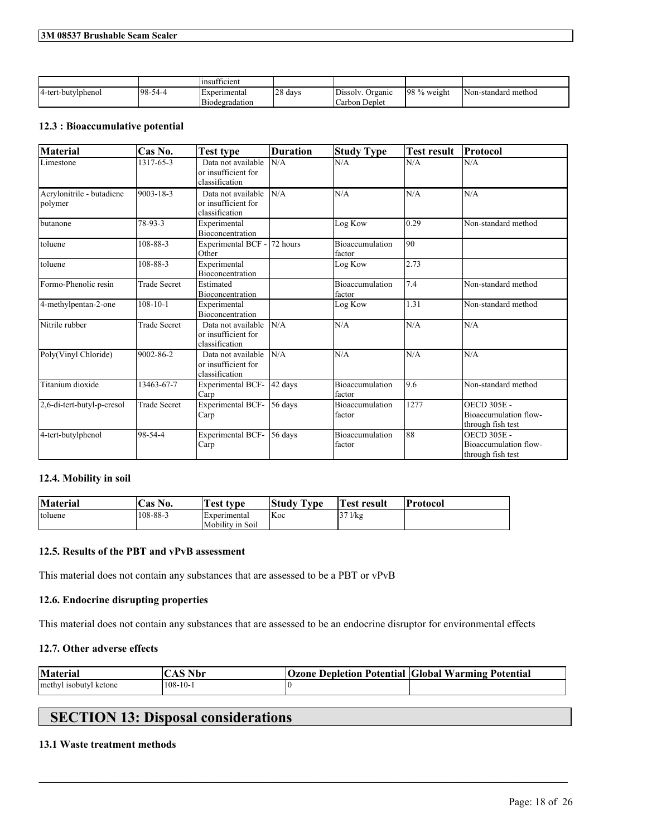|                    |                 | $\sim$<br>Insufficient |                    |                     |              |                      |
|--------------------|-----------------|------------------------|--------------------|---------------------|--------------|----------------------|
| 4-tert-butylphenol | $198-$<br>-54-4 | Experimental           | $\cap$<br>128 days | Dissolv.<br>Organic | 198 % weight | INon-standard method |
|                    |                 | Biodegradation         |                    | Carbon Deplet       |              |                      |

## **12.3 : Bioaccumulative potential**

| <b>Material</b>                      | Cas No.             | Test type                                                   | <b>Duration</b>      | <b>Study Type</b>                | <b>Test result</b> | Protocol                                                         |
|--------------------------------------|---------------------|-------------------------------------------------------------|----------------------|----------------------------------|--------------------|------------------------------------------------------------------|
| Limestone                            | 1317-65-3           | Data not available<br>or insufficient for<br>classification | N/A                  | N/A                              | N/A                | N/A                                                              |
| Acrylonitrile - butadiene<br>polymer | 9003-18-3           | Data not available<br>or insufficient for<br>classification | N/A                  | N/A                              | N/A                | N/A                                                              |
| butanone                             | 78-93-3             | Experimental<br>Bioconcentration                            |                      | Log Kow                          | 0.29               | Non-standard method                                              |
| toluene                              | 108-88-3            | Experimental BCF -<br>Other                                 | 72 hours             | <b>Bioaccumulation</b><br>factor | 90                 |                                                                  |
| toluene                              | 108-88-3            | Experimental<br>Bioconcentration                            |                      | Log Kow                          | 2.73               |                                                                  |
| Formo-Phenolic resin                 | <b>Trade Secret</b> | Estimated<br>Bioconcentration                               |                      | Bioaccumulation<br>factor        | 7.4                | Non-standard method                                              |
| 4-methylpentan-2-one                 | $108 - 10 - 1$      | Experimental<br><b>Bioconcentration</b>                     |                      | Log Kow                          | 1.31               | Non-standard method                                              |
| Nitrile rubber                       | <b>Trade Secret</b> | Data not available<br>or insufficient for<br>classification | N/A                  | N/A                              | N/A                | N/A                                                              |
| Poly(Vinyl Chloride)                 | 9002-86-2           | Data not available<br>or insufficient for<br>classification | N/A                  | N/A                              | N/A                | N/A                                                              |
| Titanium dioxide                     | 13463-67-7          | <b>Experimental BCF-</b><br>Carp                            | 42 days              | Bioaccumulation<br>factor        | 9.6                | Non-standard method                                              |
| 2,6-di-tert-butyl-p-cresol           | <b>Trade Secret</b> | Experimental BCF-<br>Carp                                   | 56 days              | Bioaccumulation<br>factor        | 1277               | <b>OECD 305E -</b><br>Bioaccumulation flow-<br>through fish test |
| 4-tert-butylphenol                   | 98-54-4             | <b>Experimental BCF-</b><br>Carp                            | $\overline{56}$ days | <b>Bioaccumulation</b><br>factor | 88                 | <b>OECD 305E -</b><br>Bioaccumulation flow-<br>through fish test |

## **12.4. Mobility in soil**

| <b>Material</b> | Cas No.  | <b>Test type</b>                        | <b>Study Type</b> | Test result | 'Protocol |
|-----------------|----------|-----------------------------------------|-------------------|-------------|-----------|
| toluene         | 108-88-3 | <i>Experimental</i><br>Mobility in Soil | <b>Koc</b>        | $37$ $1/kg$ |           |

## **12.5. Results of the PBT and vPvB assessment**

This material does not contain any substances that are assessed to be a PBT or vPvB

## **12.6. Endocrine disrupting properties**

This material does not contain any substances that are assessed to be an endocrine disruptor for environmental effects

## **12.7. Other adverse effects**

| <b>Material</b>        | $\gamma$ $\gamma$ S Nbr | <b>Ozone Depletion Potential Global Warming Potential</b> |
|------------------------|-------------------------|-----------------------------------------------------------|
| methyl isobutyl ketone | $108 - 10 - 1$          |                                                           |

 $\mathcal{L}_\mathcal{L} = \mathcal{L}_\mathcal{L} = \mathcal{L}_\mathcal{L} = \mathcal{L}_\mathcal{L} = \mathcal{L}_\mathcal{L} = \mathcal{L}_\mathcal{L} = \mathcal{L}_\mathcal{L} = \mathcal{L}_\mathcal{L} = \mathcal{L}_\mathcal{L} = \mathcal{L}_\mathcal{L} = \mathcal{L}_\mathcal{L} = \mathcal{L}_\mathcal{L} = \mathcal{L}_\mathcal{L} = \mathcal{L}_\mathcal{L} = \mathcal{L}_\mathcal{L} = \mathcal{L}_\mathcal{L} = \mathcal{L}_\mathcal{L}$ 

# **SECTION 13: Disposal considerations**

## **13.1 Waste treatment methods**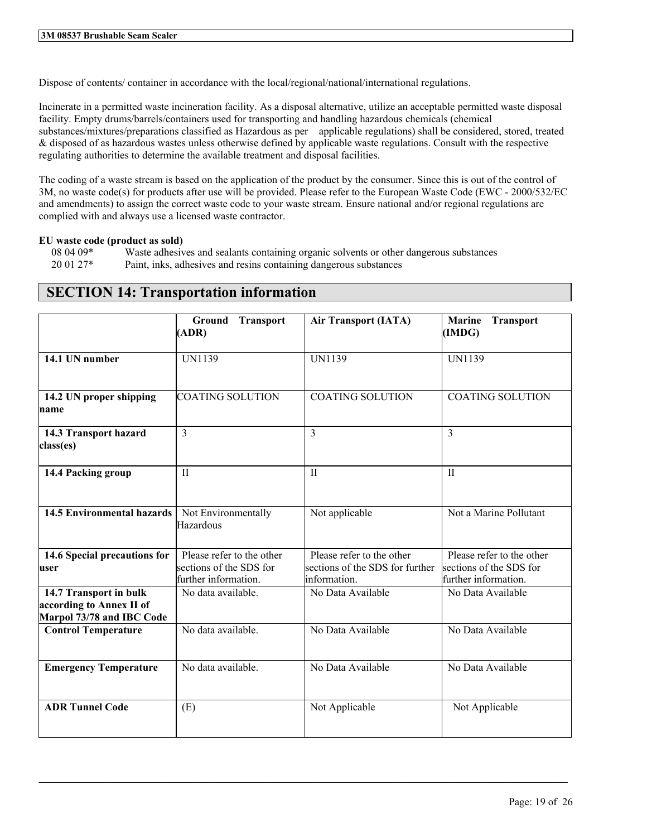Dispose of contents/ container in accordance with the local/regional/national/international regulations.

Incinerate in a permitted waste incineration facility. As a disposal alternative, utilize an acceptable permitted waste disposal facility. Empty drums/barrels/containers used for transporting and handling hazardous chemicals (chemical substances/mixtures/preparations classified as Hazardous as per applicable regulations) shall be considered, stored, treated & disposed of as hazardous wastes unless otherwise defined by applicable waste regulations. Consult with the respective regulating authorities to determine the available treatment and disposal facilities.

The coding of a waste stream is based on the application of the product by the consumer. Since this is out of the control of 3M, no waste code(s) for products after use will be provided. Please refer to the European Waste Code (EWC - 2000/532/EC and amendments) to assign the correct waste code to your waste stream. Ensure national and/or regional regulations are complied with and always use a licensed waste contractor.

## **EU waste code (product as sold)**

08 04 09\* Waste adhesives and sealants containing organic solvents or other dangerous substances 20 01 27\* Paint, inks, adhesives and resins containing dangerous substances

# **SECTION 14: Transportation information**

|                                                                                 | <b>Transport</b><br>Ground<br>(ADR)                                          | <b>Air Transport (IATA)</b>                                                  | <b>Marine</b><br><b>Transport</b><br>(IMDG)                                  |
|---------------------------------------------------------------------------------|------------------------------------------------------------------------------|------------------------------------------------------------------------------|------------------------------------------------------------------------------|
| 14.1 UN number                                                                  | <b>UN1139</b>                                                                | <b>UN1139</b>                                                                | UN1139                                                                       |
| 14.2 UN proper shipping<br>name                                                 | <b>COATING SOLUTION</b>                                                      | <b>COATING SOLUTION</b>                                                      | <b>COATING SOLUTION</b>                                                      |
| 14.3 Transport hazard<br>class(es)                                              | 3                                                                            | 3                                                                            | $\mathcal{E}$                                                                |
| 14.4 Packing group                                                              | $\mathbf{I}$                                                                 | $\mathbf{I}$                                                                 | $\mathbf{I}$                                                                 |
| <b>14.5 Environmental hazards</b>                                               | Not Environmentally<br>Hazardous                                             | Not applicable                                                               | Not a Marine Pollutant                                                       |
| 14.6 Special precautions for<br>luser                                           | Please refer to the other<br>sections of the SDS for<br>further information. | Please refer to the other<br>sections of the SDS for further<br>information. | Please refer to the other<br>sections of the SDS for<br>further information. |
| 14.7 Transport in bulk<br>according to Annex II of<br>Marpol 73/78 and IBC Code | No data available.                                                           | No Data Available                                                            | No Data Available                                                            |
| <b>Control Temperature</b>                                                      | No data available.                                                           | No Data Available                                                            | No Data Available                                                            |
| <b>Emergency Temperature</b>                                                    | No data available.                                                           | No Data Available                                                            | No Data Available                                                            |
| <b>ADR Tunnel Code</b>                                                          | (E)                                                                          | Not Applicable                                                               | Not Applicable                                                               |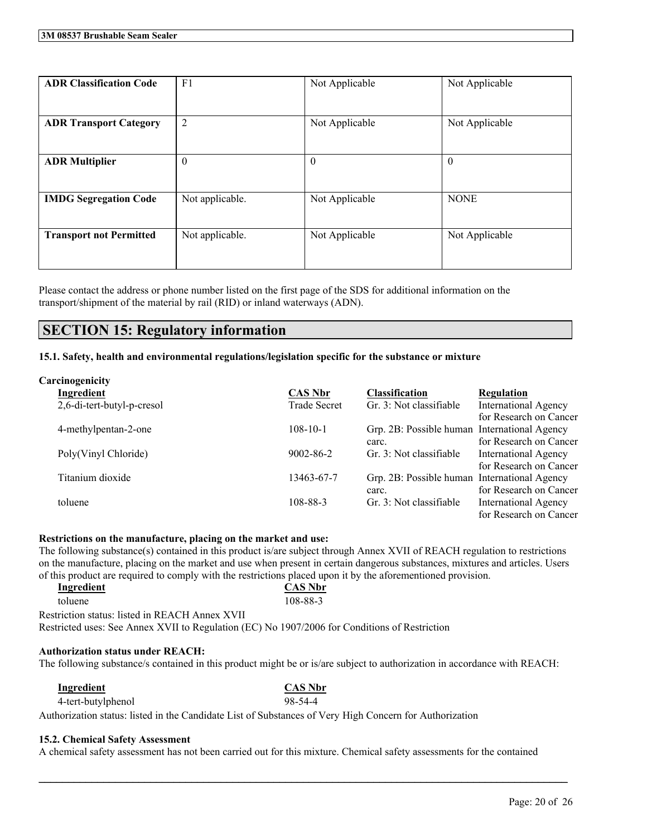| <b>ADR Classification Code</b> | F <sub>1</sub>  | Not Applicable | Not Applicable |
|--------------------------------|-----------------|----------------|----------------|
| <b>ADR Transport Category</b>  | $\overline{2}$  | Not Applicable | Not Applicable |
| <b>ADR Multiplier</b>          | $\theta$        | $\theta$       | $\mathbf{0}$   |
| <b>IMDG Segregation Code</b>   | Not applicable. | Not Applicable | <b>NONE</b>    |
| <b>Transport not Permitted</b> | Not applicable. | Not Applicable | Not Applicable |

Please contact the address or phone number listed on the first page of the SDS for additional information on the transport/shipment of the material by rail (RID) or inland waterways (ADN).

# **SECTION 15: Regulatory information**

## **15.1. Safety, health and environmental regulations/legislation specific for the substance or mixture**

| Carcinogenicity            |                     |                                              |                             |
|----------------------------|---------------------|----------------------------------------------|-----------------------------|
| Ingredient                 | <b>CAS Nbr</b>      | <b>Classification</b>                        | <b>Regulation</b>           |
| 2,6-di-tert-butyl-p-cresol | <b>Trade Secret</b> | Gr. 3: Not classifiable                      | <b>International Agency</b> |
|                            |                     |                                              | for Research on Cancer      |
| 4-methylpentan-2-one       | $108 - 10 - 1$      | Grp. 2B: Possible human International Agency |                             |
|                            |                     | carc.                                        | for Research on Cancer      |
| Poly(Vinyl Chloride)       | $9002 - 86 - 2$     | Gr. 3: Not classifiable                      | <b>International Agency</b> |
|                            |                     |                                              | for Research on Cancer      |
| Titanium dioxide           | 13463-67-7          | Grp. 2B: Possible human International Agency |                             |
|                            |                     | carc.                                        | for Research on Cancer      |
| toluene                    | 108-88-3            | Gr. 3: Not classifiable                      | International Agency        |
|                            |                     |                                              | for Research on Cancer      |

## **Restrictions on the manufacture, placing on the market and use:**

The following substance(s) contained in this product is/are subject through Annex XVII of REACH regulation to restrictions on the manufacture, placing on the market and use when present in certain dangerous substances, mixtures and articles. Users of this product are required to comply with the restrictions placed upon it by the aforementioned provision.

| Ingredient                                     | <b>CAS Nbr</b>                                                                                |  |
|------------------------------------------------|-----------------------------------------------------------------------------------------------|--|
| toluene                                        | 108-88-3                                                                                      |  |
| Restriction status: listed in REACH Annex XVII |                                                                                               |  |
|                                                | Restricted uses: See Annex XVII to Regulation (EC) No 1907/2006 for Conditions of Restriction |  |
|                                                |                                                                                               |  |

## **Authorization status under REACH:**

The following substance/s contained in this product might be or is/are subject to authorization in accordance with REACH:

| Ingredient                                                                                              | <b>CAS Nbr</b> |
|---------------------------------------------------------------------------------------------------------|----------------|
| 4-tert-butylphenol                                                                                      | 98-54-4        |
| Authorization status: listed in the Candidate List of Substances of Very High Concern for Authorization |                |

## **15.2. Chemical Safety Assessment**

A chemical safety assessment has not been carried out for this mixture. Chemical safety assessments for the contained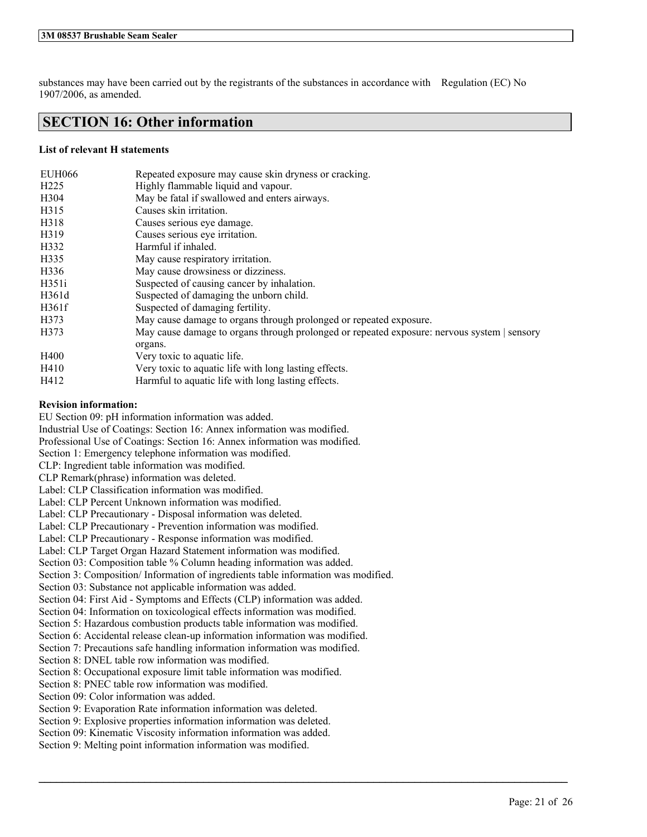substances may have been carried out by the registrants of the substances in accordance with Regulation (EC) No 1907/2006, as amended.

# **SECTION 16: Other information**

## **List of relevant H statements**

| <b>EUH066</b>    | Repeated exposure may cause skin dryness or cracking.                                       |
|------------------|---------------------------------------------------------------------------------------------|
| H <sub>225</sub> | Highly flammable liquid and vapour.                                                         |
| H304             | May be fatal if swallowed and enters airways.                                               |
| H315             | Causes skin irritation.                                                                     |
| H318             | Causes serious eye damage.                                                                  |
| H319             | Causes serious eye irritation.                                                              |
| H332             | Harmful if inhaled.                                                                         |
| H335             | May cause respiratory irritation.                                                           |
| H336             | May cause drowsiness or dizziness.                                                          |
| H351i            | Suspected of causing cancer by inhalation.                                                  |
| H361d            | Suspected of damaging the unborn child.                                                     |
| H361f            | Suspected of damaging fertility.                                                            |
| H373             | May cause damage to organs through prolonged or repeated exposure.                          |
| H373             | May cause damage to organs through prolonged or repeated exposure: nervous system   sensory |
|                  | organs.                                                                                     |
| H400             | Very toxic to aquatic life.                                                                 |
| H410             | Very toxic to aquatic life with long lasting effects.                                       |
| H412             | Harmful to aquatic life with long lasting effects.                                          |

 $\mathcal{L}_\mathcal{L} = \mathcal{L}_\mathcal{L} = \mathcal{L}_\mathcal{L} = \mathcal{L}_\mathcal{L} = \mathcal{L}_\mathcal{L} = \mathcal{L}_\mathcal{L} = \mathcal{L}_\mathcal{L} = \mathcal{L}_\mathcal{L} = \mathcal{L}_\mathcal{L} = \mathcal{L}_\mathcal{L} = \mathcal{L}_\mathcal{L} = \mathcal{L}_\mathcal{L} = \mathcal{L}_\mathcal{L} = \mathcal{L}_\mathcal{L} = \mathcal{L}_\mathcal{L} = \mathcal{L}_\mathcal{L} = \mathcal{L}_\mathcal{L}$ 

## **Revision information:**

EU Section 09: pH information information was added.

Industrial Use of Coatings: Section 16: Annex information was modified.

Professional Use of Coatings: Section 16: Annex information was modified.

Section 1: Emergency telephone information was modified.

CLP: Ingredient table information was modified.

CLP Remark(phrase) information was deleted.

Label: CLP Classification information was modified.

Label: CLP Percent Unknown information was modified.

Label: CLP Precautionary - Disposal information was deleted.

Label: CLP Precautionary - Prevention information was modified.

Label: CLP Precautionary - Response information was modified.

Label: CLP Target Organ Hazard Statement information was modified.

Section 03: Composition table % Column heading information was added.

Section 3: Composition/ Information of ingredients table information was modified.

Section 03: Substance not applicable information was added.

Section 04: First Aid - Symptoms and Effects (CLP) information was added.

Section 04: Information on toxicological effects information was modified.

Section 5: Hazardous combustion products table information was modified.

Section 6: Accidental release clean-up information information was modified.

Section 7: Precautions safe handling information information was modified.

Section 8: DNEL table row information was modified.

Section 8: Occupational exposure limit table information was modified.

Section 8: PNEC table row information was modified.

Section 09: Color information was added.

Section 9: Evaporation Rate information information was deleted.

Section 9: Explosive properties information information was deleted.

Section 09: Kinematic Viscosity information information was added.

Section 9: Melting point information information was modified.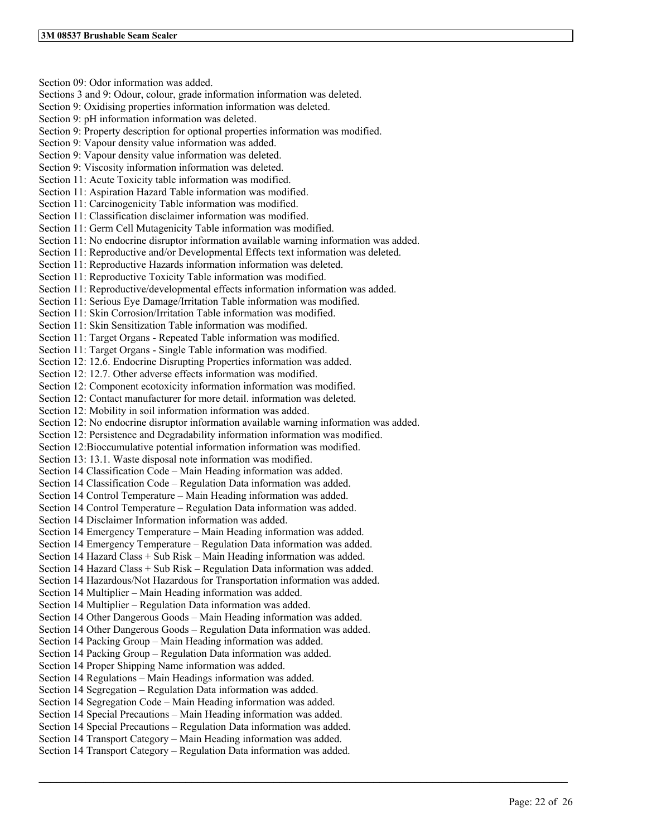Section 09: Odor information was added. Sections 3 and 9: Odour, colour, grade information information was deleted. Section 9: Oxidising properties information information was deleted. Section 9: pH information information was deleted. Section 9: Property description for optional properties information was modified. Section 9: Vapour density value information was added. Section 9: Vapour density value information was deleted. Section 9: Viscosity information information was deleted. Section 11: Acute Toxicity table information was modified. Section 11: Aspiration Hazard Table information was modified. Section 11: Carcinogenicity Table information was modified. Section 11: Classification disclaimer information was modified. Section 11: Germ Cell Mutagenicity Table information was modified. Section 11: No endocrine disruptor information available warning information was added. Section 11: Reproductive and/or Developmental Effects text information was deleted. Section 11: Reproductive Hazards information information was deleted. Section 11: Reproductive Toxicity Table information was modified. Section 11: Reproductive/developmental effects information information was added. Section 11: Serious Eye Damage/Irritation Table information was modified. Section 11: Skin Corrosion/Irritation Table information was modified. Section 11: Skin Sensitization Table information was modified. Section 11: Target Organs - Repeated Table information was modified. Section 11: Target Organs - Single Table information was modified. Section 12: 12.6. Endocrine Disrupting Properties information was added. Section 12: 12.7. Other adverse effects information was modified. Section 12: Component ecotoxicity information information was modified. Section 12: Contact manufacturer for more detail. information was deleted. Section 12: Mobility in soil information information was added. Section 12: No endocrine disruptor information available warning information was added. Section 12: Persistence and Degradability information information was modified. Section 12:Bioccumulative potential information information was modified. Section 13: 13.1. Waste disposal note information was modified. Section 14 Classification Code – Main Heading information was added. Section 14 Classification Code – Regulation Data information was added. Section 14 Control Temperature – Main Heading information was added. Section 14 Control Temperature – Regulation Data information was added. Section 14 Disclaimer Information information was added. Section 14 Emergency Temperature – Main Heading information was added. Section 14 Emergency Temperature – Regulation Data information was added. Section 14 Hazard Class + Sub Risk – Main Heading information was added. Section 14 Hazard Class + Sub Risk – Regulation Data information was added. Section 14 Hazardous/Not Hazardous for Transportation information was added. Section 14 Multiplier – Main Heading information was added. Section 14 Multiplier – Regulation Data information was added. Section 14 Other Dangerous Goods – Main Heading information was added. Section 14 Other Dangerous Goods – Regulation Data information was added. Section 14 Packing Group – Main Heading information was added. Section 14 Packing Group – Regulation Data information was added. Section 14 Proper Shipping Name information was added. Section 14 Regulations – Main Headings information was added. Section 14 Segregation – Regulation Data information was added. Section 14 Segregation Code – Main Heading information was added. Section 14 Special Precautions – Main Heading information was added. Section 14 Special Precautions – Regulation Data information was added. Section 14 Transport Category – Main Heading information was added. Section 14 Transport Category – Regulation Data information was added.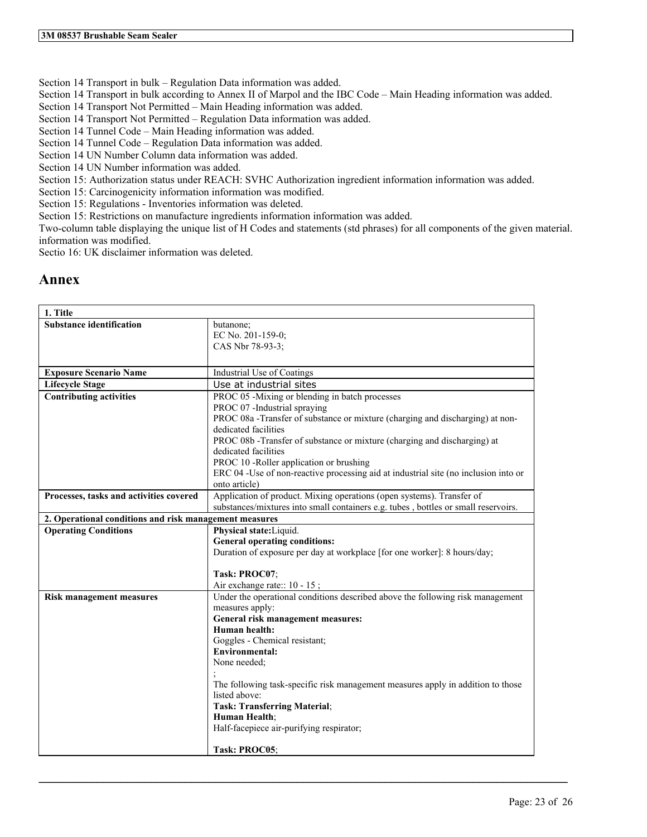Section 14 Transport in bulk – Regulation Data information was added.

Section 14 Transport in bulk according to Annex II of Marpol and the IBC Code – Main Heading information was added.

Section 14 Transport Not Permitted – Main Heading information was added.

Section 14 Transport Not Permitted – Regulation Data information was added.

Section 14 Tunnel Code – Main Heading information was added.

Section 14 Tunnel Code – Regulation Data information was added.

Section 14 UN Number Column data information was added.

Section 14 UN Number information was added.

Section 15: Authorization status under REACH: SVHC Authorization ingredient information information was added.

Section 15: Carcinogenicity information information was modified.

Section 15: Regulations - Inventories information was deleted.

Section 15: Restrictions on manufacture ingredients information information was added.

Two-column table displaying the unique list of H Codes and statements (std phrases) for all components of the given material. information was modified.

Sectio 16: UK disclaimer information was deleted.

# **Annex**

| 1. Title                                               |                                                                                     |  |
|--------------------------------------------------------|-------------------------------------------------------------------------------------|--|
| <b>Substance identification</b>                        | butanone;                                                                           |  |
|                                                        | EC No. 201-159-0;                                                                   |  |
|                                                        | CAS Nbr 78-93-3;                                                                    |  |
|                                                        |                                                                                     |  |
| <b>Exposure Scenario Name</b>                          | Industrial Use of Coatings                                                          |  |
| <b>Lifecycle Stage</b>                                 | Use at industrial sites                                                             |  |
| <b>Contributing activities</b>                         | PROC 05 -Mixing or blending in batch processes                                      |  |
|                                                        | PROC 07 -Industrial spraying                                                        |  |
|                                                        | PROC 08a -Transfer of substance or mixture (charging and discharging) at non-       |  |
|                                                        | dedicated facilities                                                                |  |
|                                                        | PROC 08b - Transfer of substance or mixture (charging and discharging) at           |  |
|                                                        | dedicated facilities                                                                |  |
|                                                        | PROC 10 -Roller application or brushing                                             |  |
|                                                        | ERC 04 -Use of non-reactive processing aid at industrial site (no inclusion into or |  |
|                                                        | onto article)                                                                       |  |
| Processes, tasks and activities covered                | Application of product. Mixing operations (open systems). Transfer of               |  |
|                                                        | substances/mixtures into small containers e.g. tubes, bottles or small reservoirs.  |  |
| 2. Operational conditions and risk management measures |                                                                                     |  |
| <b>Operating Conditions</b>                            | Physical state: Liquid.                                                             |  |
|                                                        | <b>General operating conditions:</b>                                                |  |
|                                                        | Duration of exposure per day at workplace [for one worker]: 8 hours/day;            |  |
|                                                        |                                                                                     |  |
|                                                        | Task: PROC07;                                                                       |  |
|                                                        | Air exchange rate:: 10 - 15;                                                        |  |
| <b>Risk management measures</b>                        | Under the operational conditions described above the following risk management      |  |
|                                                        | measures apply:                                                                     |  |
|                                                        | General risk management measures:<br>Human health:                                  |  |
|                                                        | Goggles - Chemical resistant;                                                       |  |
|                                                        | <b>Environmental:</b>                                                               |  |
|                                                        | None needed;                                                                        |  |
|                                                        |                                                                                     |  |
|                                                        | The following task-specific risk management measures apply in addition to those     |  |
|                                                        | listed above:                                                                       |  |
|                                                        | <b>Task: Transferring Material;</b>                                                 |  |
|                                                        | Human Health;                                                                       |  |
|                                                        | Half-facepiece air-purifying respirator;                                            |  |
|                                                        |                                                                                     |  |
|                                                        | Task: PROC05:                                                                       |  |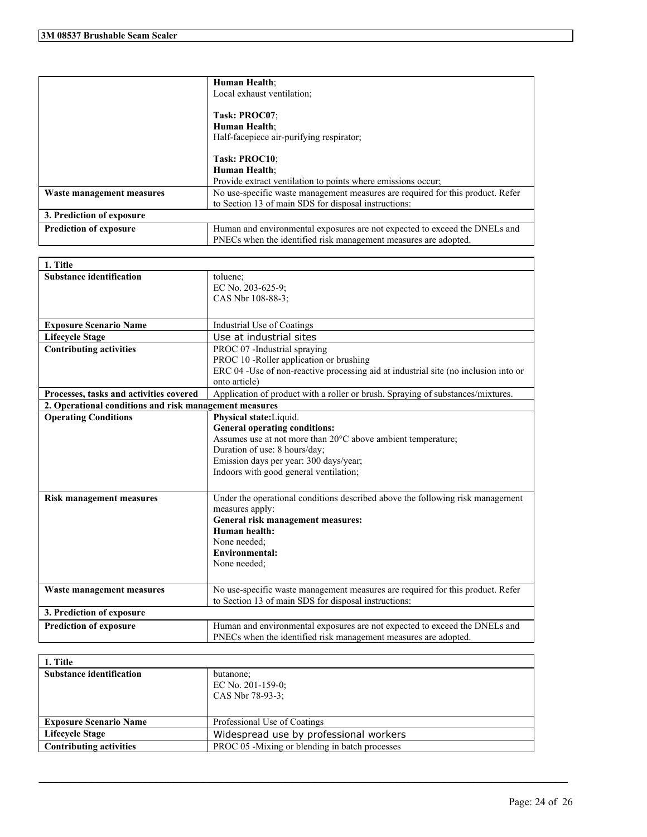|                               | Human Health;                                                                  |
|-------------------------------|--------------------------------------------------------------------------------|
|                               | Local exhaust ventilation;                                                     |
|                               |                                                                                |
|                               | Task: PROC07:                                                                  |
|                               | Human Health;                                                                  |
|                               | Half-facepiece air-purifying respirator;                                       |
|                               |                                                                                |
|                               | Task: PROC10:                                                                  |
|                               | <b>Human Health:</b>                                                           |
|                               | Provide extract ventilation to points where emissions occur;                   |
| Waste management measures     | No use-specific waste management measures are required for this product. Refer |
|                               | to Section 13 of main SDS for disposal instructions:                           |
| 3. Prediction of exposure     |                                                                                |
| <b>Prediction of exposure</b> | Human and environmental exposures are not expected to exceed the DNELs and     |
|                               | PNECs when the identified risk management measures are adopted.                |

| 1. Title                                                                                                                   |                                                                                     |  |
|----------------------------------------------------------------------------------------------------------------------------|-------------------------------------------------------------------------------------|--|
| <b>Substance identification</b>                                                                                            | toluene;                                                                            |  |
|                                                                                                                            | EC No. 203-625-9;                                                                   |  |
|                                                                                                                            | CAS Nbr 108-88-3;                                                                   |  |
|                                                                                                                            |                                                                                     |  |
| <b>Exposure Scenario Name</b>                                                                                              | Industrial Use of Coatings                                                          |  |
| <b>Lifecycle Stage</b>                                                                                                     | Use at industrial sites                                                             |  |
| <b>Contributing activities</b>                                                                                             | PROC 07 -Industrial spraying                                                        |  |
|                                                                                                                            | PROC 10 -Roller application or brushing                                             |  |
|                                                                                                                            | ERC 04 -Use of non-reactive processing aid at industrial site (no inclusion into or |  |
|                                                                                                                            | onto article)                                                                       |  |
| Application of product with a roller or brush. Spraying of substances/mixtures.<br>Processes, tasks and activities covered |                                                                                     |  |
| 2. Operational conditions and risk management measures                                                                     |                                                                                     |  |
| <b>Operating Conditions</b>                                                                                                | Physical state: Liquid.                                                             |  |
|                                                                                                                            | <b>General operating conditions:</b>                                                |  |
|                                                                                                                            | Assumes use at not more than 20°C above ambient temperature;                        |  |
|                                                                                                                            | Duration of use: 8 hours/day;                                                       |  |
|                                                                                                                            | Emission days per year: 300 days/year;                                              |  |
|                                                                                                                            | Indoors with good general ventilation;                                              |  |
|                                                                                                                            |                                                                                     |  |
| <b>Risk management measures</b>                                                                                            | Under the operational conditions described above the following risk management      |  |
|                                                                                                                            | measures apply:                                                                     |  |
|                                                                                                                            | General risk management measures:                                                   |  |
|                                                                                                                            | Human health:                                                                       |  |
|                                                                                                                            | None needed:                                                                        |  |
|                                                                                                                            | <b>Environmental:</b>                                                               |  |
|                                                                                                                            | None needed;                                                                        |  |
|                                                                                                                            |                                                                                     |  |
| Waste management measures                                                                                                  | No use-specific waste management measures are required for this product. Refer      |  |
|                                                                                                                            | to Section 13 of main SDS for disposal instructions:                                |  |
| 3. Prediction of exposure                                                                                                  |                                                                                     |  |
| <b>Prediction of exposure</b>                                                                                              | Human and environmental exposures are not expected to exceed the DNELs and          |  |
|                                                                                                                            | PNECs when the identified risk management measures are adopted.                     |  |

| 1. Title                        |                                                       |
|---------------------------------|-------------------------------------------------------|
| <b>Substance identification</b> | butanone;<br>EC No. $201-159-0$ ;<br>CAS Nbr 78-93-3: |
| <b>Exposure Scenario Name</b>   | Professional Use of Coatings                          |
| <b>Lifecycle Stage</b>          | Widespread use by professional workers                |
| <b>Contributing activities</b>  | PROC 05 -Mixing or blending in batch processes        |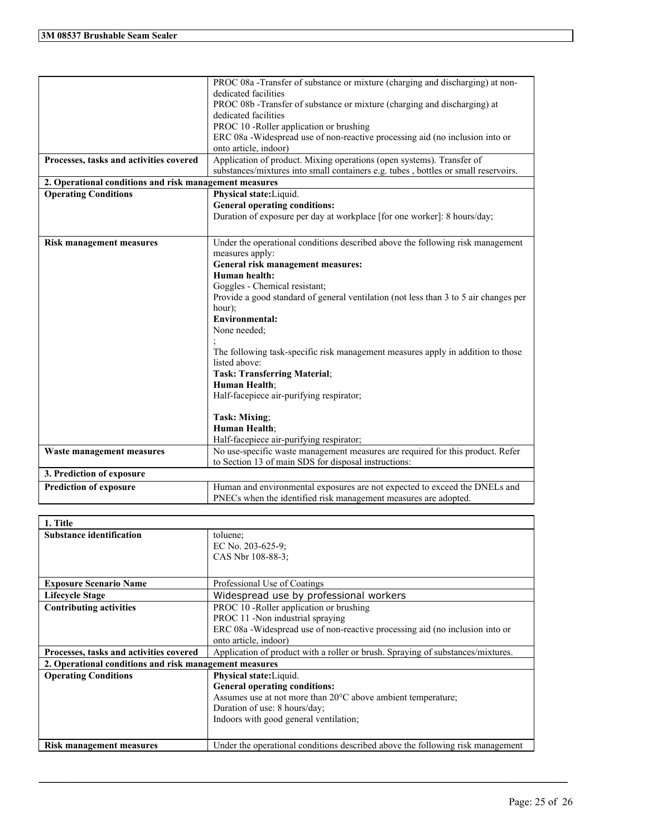|                                                        | PROC 08a - Transfer of substance or mixture (charging and discharging) at non-       |
|--------------------------------------------------------|--------------------------------------------------------------------------------------|
|                                                        | dedicated facilities                                                                 |
|                                                        | PROC 08b -Transfer of substance or mixture (charging and discharging) at             |
|                                                        | dedicated facilities                                                                 |
|                                                        | PROC 10 -Roller application or brushing                                              |
|                                                        | ERC 08a -Widespread use of non-reactive processing aid (no inclusion into or         |
|                                                        | onto article, indoor)                                                                |
| Processes, tasks and activities covered                | Application of product. Mixing operations (open systems). Transfer of                |
|                                                        | substances/mixtures into small containers e.g. tubes, bottles or small reservoirs.   |
| 2. Operational conditions and risk management measures |                                                                                      |
| <b>Operating Conditions</b>                            | Physical state: Liquid.                                                              |
|                                                        | <b>General operating conditions:</b>                                                 |
|                                                        | Duration of exposure per day at workplace [for one worker]: 8 hours/day;             |
|                                                        |                                                                                      |
| <b>Risk management measures</b>                        | Under the operational conditions described above the following risk management       |
|                                                        | measures apply:                                                                      |
|                                                        | General risk management measures:                                                    |
|                                                        | Human health:                                                                        |
|                                                        | Goggles - Chemical resistant;                                                        |
|                                                        | Provide a good standard of general ventilation (not less than 3 to 5 air changes per |
|                                                        | hour);                                                                               |
|                                                        | <b>Environmental:</b>                                                                |
|                                                        | None needed;                                                                         |
|                                                        |                                                                                      |
|                                                        | The following task-specific risk management measures apply in addition to those      |
|                                                        | listed above:                                                                        |
|                                                        | <b>Task: Transferring Material;</b>                                                  |
|                                                        | Human Health;                                                                        |
|                                                        | Half-facepiece air-purifying respirator;                                             |
|                                                        |                                                                                      |
|                                                        | Task: Mixing;                                                                        |
|                                                        | Human Health;                                                                        |
|                                                        | Half-facepiece air-purifying respirator;                                             |
| Waste management measures                              | No use-specific waste management measures are required for this product. Refer       |
|                                                        | to Section 13 of main SDS for disposal instructions:                                 |
| 3. Prediction of exposure                              |                                                                                      |
| <b>Prediction of exposure</b>                          | Human and environmental exposures are not expected to exceed the DNELs and           |
|                                                        | PNECs when the identified risk management measures are adopted.                      |

| 1. Title                                               |                                                                                 |  |
|--------------------------------------------------------|---------------------------------------------------------------------------------|--|
| <b>Substance identification</b>                        | toluene:                                                                        |  |
|                                                        | EC No. $203-625-9$ ;                                                            |  |
|                                                        | CAS Nbr 108-88-3;                                                               |  |
|                                                        |                                                                                 |  |
| <b>Exposure Scenario Name</b>                          | Professional Use of Coatings                                                    |  |
| <b>Lifecycle Stage</b>                                 | Widespread use by professional workers                                          |  |
| <b>Contributing activities</b>                         | PROC 10 - Roller application or brushing                                        |  |
|                                                        | PROC 11 -Non industrial spraying                                                |  |
|                                                        | ERC 08a -Widespread use of non-reactive processing aid (no inclusion into or    |  |
|                                                        | onto article, indoor)                                                           |  |
| Processes, tasks and activities covered                | Application of product with a roller or brush. Spraying of substances/mixtures. |  |
| 2. Operational conditions and risk management measures |                                                                                 |  |
| <b>Operating Conditions</b>                            | Physical state: Liquid.                                                         |  |
|                                                        | <b>General operating conditions:</b>                                            |  |
|                                                        | Assumes use at not more than 20°C above ambient temperature;                    |  |
|                                                        | Duration of use: 8 hours/day;                                                   |  |
|                                                        | Indoors with good general ventilation;                                          |  |
|                                                        |                                                                                 |  |
| <b>Risk management measures</b>                        | Under the operational conditions described above the following risk management  |  |